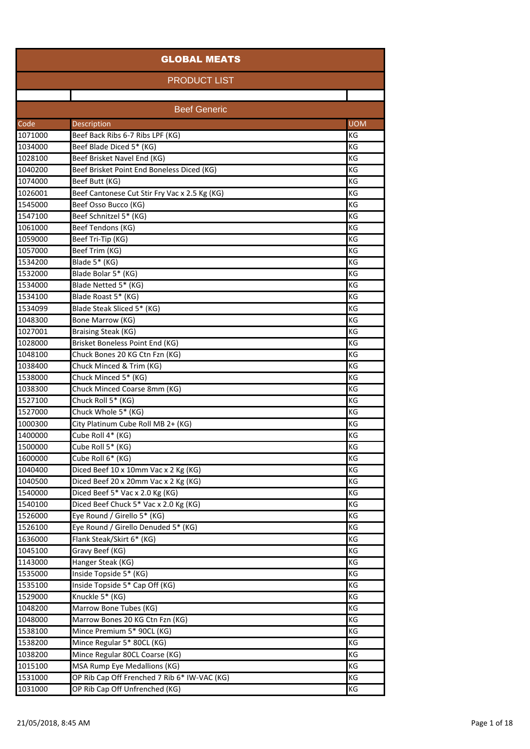| <b>GLOBAL MEATS</b> |                                                          |            |  |
|---------------------|----------------------------------------------------------|------------|--|
|                     | <b>PRODUCT LIST</b>                                      |            |  |
|                     |                                                          |            |  |
|                     | <b>Beef Generic</b>                                      |            |  |
| Code                | Description                                              | <b>UOM</b> |  |
| 1071000             | Beef Back Ribs 6-7 Ribs LPF (KG)                         | KG         |  |
| 1034000             | Beef Blade Diced 5* (KG)                                 | KG         |  |
| 1028100             | Beef Brisket Navel End (KG)                              | KG         |  |
| 1040200             | Beef Brisket Point End Boneless Diced (KG)               | KG         |  |
| 1074000             | Beef Butt (KG)                                           | KG         |  |
| 1026001             | Beef Cantonese Cut Stir Fry Vac x 2.5 Kg (KG)            | KG         |  |
| 1545000             | Beef Osso Bucco (KG)                                     | KG         |  |
| 1547100             | Beef Schnitzel 5* (KG)                                   | KG         |  |
| 1061000             | Beef Tendons (KG)                                        | KG         |  |
| 1059000             | Beef Tri-Tip (KG)                                        | KG         |  |
| 1057000             | Beef Trim (KG)                                           | KG         |  |
| 1534200             | Blade 5* (KG)                                            | KG         |  |
| 1532000             | Blade Bolar 5* (KG)                                      | KG         |  |
| 1534000             | Blade Netted 5* (KG)                                     | KG         |  |
| 1534100             | Blade Roast 5* (KG)                                      | KG         |  |
| 1534099             | Blade Steak Sliced 5* (KG)                               | KG         |  |
| 1048300             | Bone Marrow (KG)                                         | ΚG         |  |
| 1027001             | Braising Steak (KG)                                      | KG         |  |
| 1028000             | Brisket Boneless Point End (KG)                          | KG         |  |
| 1048100             | Chuck Bones 20 KG Ctn Fzn (KG)                           | KG         |  |
| 1038400             | Chuck Minced & Trim (KG)                                 | KG         |  |
| 1538000             | Chuck Minced 5* (KG)                                     | KG         |  |
| 1038300             | Chuck Minced Coarse 8mm (KG)                             | KG         |  |
| 1527100             | Chuck Roll 5* (KG)                                       | KG         |  |
| 1527000             | Chuck Whole 5* (KG)                                      | KG         |  |
| 1000300             | City Platinum Cube Roll MB 2+ (KG)                       | KG         |  |
| 1400000             | Cube Roll 4* (KG)                                        | KG         |  |
| 1500000             | Cube Roll 5* (KG)                                        | KG         |  |
| 1600000             | Cube Roll 6* (KG)                                        | KG         |  |
| 1040400             | Diced Beef 10 x 10mm Vac x 2 Kg (KG)                     | КG         |  |
| 1040500             | Diced Beef 20 x 20mm Vac x 2 Kg (KG)                     | ΚG         |  |
| 1540000             | Diced Beef 5* Vac x 2.0 Kg (KG)                          | KG         |  |
| 1540100             | Diced Beef Chuck 5* Vac x 2.0 Kg (KG)                    | KG         |  |
| 1526000             | Eye Round / Girello 5* (KG)                              | KG         |  |
| 1526100             | Eye Round / Girello Denuded 5* (KG)                      | KG         |  |
| 1636000             | Flank Steak/Skirt 6* (KG)                                | ΚG         |  |
| 1045100             | Gravy Beef (KG)                                          | KG         |  |
| 1143000             | Hanger Steak (KG)                                        | KG         |  |
| 1535000             | Inside Topside 5* (KG)                                   | KG         |  |
| 1535100             | Inside Topside 5* Cap Off (KG)                           | KG         |  |
| 1529000             | Knuckle 5* (KG)                                          | KG         |  |
| 1048200             | Marrow Bone Tubes (KG)                                   | ΚG         |  |
| 1048000             | Marrow Bones 20 KG Ctn Fzn (KG)                          | KG         |  |
| 1538100             | Mince Premium 5* 90CL (KG)<br>Mince Regular 5* 80CL (KG) | KG<br>KG   |  |
| 1538200             |                                                          |            |  |
| 1038200             | Mince Regular 80CL Coarse (KG)                           | KG         |  |
| 1015100             | MSA Rump Eye Medallions (KG)                             | KG         |  |
| 1531000             | OP Rib Cap Off Frenched 7 Rib 6* IW-VAC (KG)             | ΚG         |  |
| 1031000             | OP Rib Cap Off Unfrenched (KG)                           | KG         |  |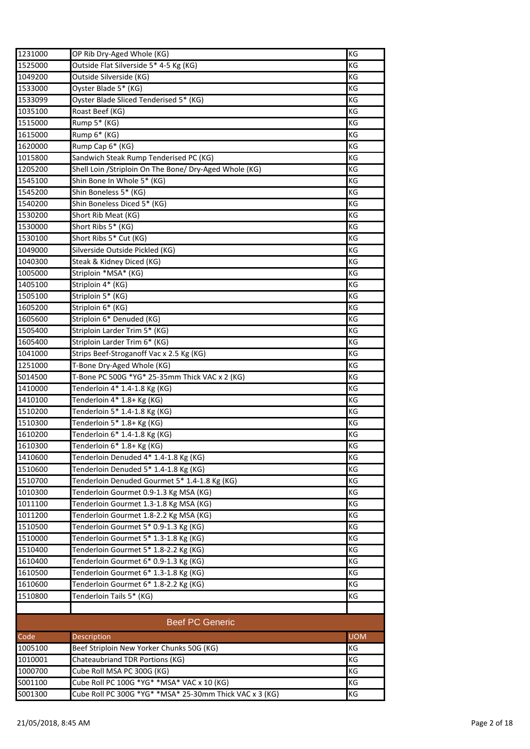| 1231000 | OP Rib Dry-Aged Whole (KG)                              | KG         |
|---------|---------------------------------------------------------|------------|
| 1525000 | Outside Flat Silverside 5* 4-5 Kg (KG)                  | KG         |
| 1049200 | Outside Silverside (KG)                                 | KG         |
| 1533000 | Oyster Blade 5* (KG)                                    | KG         |
| 1533099 | Oyster Blade Sliced Tenderised 5* (KG)                  | KG         |
| 1035100 | Roast Beef (KG)                                         | KG         |
| 1515000 | Rump 5* (KG)                                            | KG         |
| 1615000 | Rump 6* (KG)                                            | KG         |
| 1620000 | Rump Cap 6* (KG)                                        | KG         |
| 1015800 | Sandwich Steak Rump Tenderised PC (KG)                  | KG         |
| 1205200 | Shell Loin / Striploin On The Bone/ Dry-Aged Whole (KG) | KG         |
| 1545100 | Shin Bone In Whole 5* (KG)                              | KG         |
| 1545200 | Shin Boneless 5* (KG)                                   | KG         |
| 1540200 | Shin Boneless Diced 5* (KG)                             | ΚG         |
| 1530200 | Short Rib Meat (KG)                                     | KG         |
| 1530000 | Short Ribs 5* (KG)                                      | KG         |
| 1530100 | Short Ribs 5* Cut (KG)                                  | KG         |
| 1049000 | Silverside Outside Pickled (KG)                         | KG         |
| 1040300 | Steak & Kidney Diced (KG)                               | KG         |
| 1005000 | Striploin *MSA* (KG)                                    | KG         |
| 1405100 | Striploin 4* (KG)                                       | KG         |
| 1505100 | Striploin 5* (KG)                                       | KG         |
| 1605200 | Striploin 6* (KG)                                       | KG         |
| 1605600 | Striploin 6* Denuded (KG)                               | KG         |
| 1505400 | Striploin Larder Trim 5* (KG)                           | KG         |
| 1605400 | Striploin Larder Trim 6* (KG)                           | ΚG         |
| 1041000 | Strips Beef-Stroganoff Vac x 2.5 Kg (KG)                | KG         |
| 1251000 | T-Bone Dry-Aged Whole (KG)                              | KG         |
| S014500 | T-Bone PC 500G *YG* 25-35mm Thick VAC x 2 (KG)          | KG         |
| 1410000 | Tenderloin 4* 1.4-1.8 Kg (KG)                           | KG         |
| 1410100 | Tenderloin 4* 1.8+ Kg (KG)                              | KG         |
| 1510200 | Tenderloin 5* 1.4-1.8 Kg (KG)                           | KG         |
| 1510300 | Tenderloin 5* 1.8+ Kg (KG)                              | KG         |
| 1610200 | Tenderloin 6* 1.4-1.8 Kg (KG)                           | KG         |
| 1610300 | Tenderloin 6* 1.8+ Kg (KG)                              | KG         |
| 1410600 | Tenderloin Denuded 4* 1.4-1.8 Kg (KG)                   | KG         |
| 1510600 | Tenderloin Denuded 5* 1.4-1.8 Kg (KG)                   | KG         |
| 1510700 | Tenderloin Denuded Gourmet 5* 1.4-1.8 Kg (KG)           | KG         |
| 1010300 | Tenderloin Gourmet 0.9-1.3 Kg MSA (KG)                  | KG         |
| 1011100 | Tenderloin Gourmet 1.3-1.8 Kg MSA (KG)                  | KG         |
| 1011200 | Tenderloin Gourmet 1.8-2.2 Kg MSA (KG)                  | KG         |
| 1510500 | Tenderloin Gourmet 5* 0.9-1.3 Kg (KG)                   | KG         |
| 1510000 | Tenderloin Gourmet 5* 1.3-1.8 Kg (KG)                   | KG         |
| 1510400 | Tenderloin Gourmet 5* 1.8-2.2 Kg (KG)                   | ΚG         |
| 1610400 | Tenderloin Gourmet 6* 0.9-1.3 Kg (KG)                   | KG         |
| 1610500 | Tenderloin Gourmet 6* 1.3-1.8 Kg (KG)                   | KG         |
| 1610600 | Tenderloin Gourmet 6* 1.8-2.2 Kg (KG)                   | KG         |
| 1510800 | Tenderloin Tails 5* (KG)                                | KG         |
|         |                                                         |            |
|         | <b>Beef PC Generic</b>                                  |            |
| Code    | Description                                             | <b>UOM</b> |
| 1005100 | Beef Striploin New Yorker Chunks 50G (KG)               | KG         |
| 1010001 | Chateaubriand TDR Portions (KG)                         | KG         |
| 1000700 | Cube Roll MSA PC 300G (KG)                              | KG         |
| S001100 | Cube Roll PC 100G *YG* *MSA* VAC x 10 (KG)              | KG         |
| S001300 | Cube Roll PC 300G *YG* *MSA* 25-30mm Thick VAC x 3 (KG) | KG         |
|         |                                                         |            |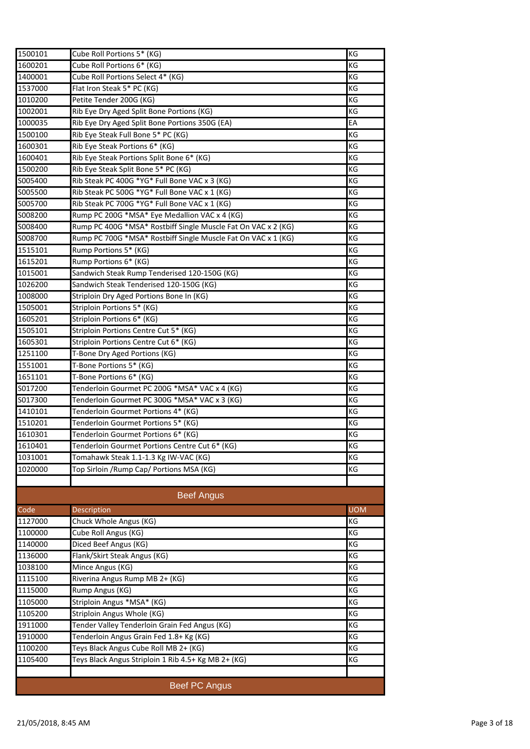| 1500101                  | Cube Roll Portions 5* (KG)                                    | KG         |
|--------------------------|---------------------------------------------------------------|------------|
| 1600201                  | Cube Roll Portions 6* (KG)                                    | КG         |
| 1400001                  | Cube Roll Portions Select 4* (KG)                             | KG         |
| 1537000                  | Flat Iron Steak 5* PC (KG)                                    | KG         |
| 1010200                  | Petite Tender 200G (KG)                                       | ΚG         |
| 1002001                  | Rib Eye Dry Aged Split Bone Portions (KG)                     | KG         |
| 1000035                  | Rib Eye Dry Aged Split Bone Portions 350G (EA)                | EA         |
| 1500100                  | Rib Eye Steak Full Bone 5* PC (KG)                            | KG         |
| 1600301                  | Rib Eye Steak Portions 6* (KG)                                | ΚG         |
| 1600401                  | Rib Eye Steak Portions Split Bone 6* (KG)                     | KG         |
| 1500200                  | Rib Eye Steak Split Bone 5* PC (KG)                           | KG         |
| S005400                  | Rib Steak PC 400G *YG* Full Bone VAC x 3 (KG)                 | KG         |
| S005500                  | Rib Steak PC 500G *YG* Full Bone VAC x 1 (KG)                 | KG         |
| S005700                  | Rib Steak PC 700G *YG* Full Bone VAC x 1 (KG)                 | ΚG         |
| S008200                  | Rump PC 200G *MSA* Eye Medallion VAC x 4 (KG)                 | ΚG         |
| S008400                  | Rump PC 400G *MSA* Rostbiff Single Muscle Fat On VAC x 2 (KG) | ΚG         |
| S008700                  | Rump PC 700G *MSA* Rostbiff Single Muscle Fat On VAC x 1 (KG) | KG         |
| 1515101                  | Rump Portions 5* (KG)                                         | ΚG         |
| 1615201                  | Rump Portions 6* (KG)                                         | ΚG         |
| 1015001                  | Sandwich Steak Rump Tenderised 120-150G (KG)                  | ΚG         |
| 1026200                  | Sandwich Steak Tenderised 120-150G (KG)                       | KG         |
| 1008000                  | Striploin Dry Aged Portions Bone In (KG)                      | KG         |
| 1505001                  | Striploin Portions 5* (KG)                                    | KG         |
| 1605201                  | Striploin Portions 6* (KG)                                    | KG         |
| 1505101                  | Striploin Portions Centre Cut 5* (KG)                         | KG         |
| 1605301                  | Striploin Portions Centre Cut 6* (KG)                         | KG         |
| 1251100                  | T-Bone Dry Aged Portions (KG)                                 | KG         |
| 1551001                  | T-Bone Portions 5* (KG)                                       | KG         |
| 1651101                  | T-Bone Portions 6* (KG)                                       | KG         |
| S017200                  | Tenderloin Gourmet PC 200G *MSA* VAC x 4 (KG)                 | KG         |
| S017300                  | Tenderloin Gourmet PC 300G *MSA* VAC x 3 (KG)                 | KG         |
| 1410101                  | Tenderloin Gourmet Portions 4* (KG)                           | KG         |
| 1510201                  | Tenderloin Gourmet Portions 5* (KG)                           | KG         |
| 1610301                  | Tenderloin Gourmet Portions 6* (KG)                           | KG         |
| 1610401                  | Tenderloin Gourmet Portions Centre Cut 6* (KG)                | KG         |
| 1031001                  | Tomahawk Steak 1.1-1.3 Kg IW-VAC (KG)                         | КG         |
| 1020000                  | Top Sirloin / Rump Cap/ Portions MSA (KG)                     | ΚG         |
|                          |                                                               |            |
|                          | <b>Beef Angus</b>                                             |            |
| $\overline{\text{Code}}$ | Description                                                   | <b>UOM</b> |
| 1127000                  | Chuck Whole Angus (KG)                                        | ΚG         |
| 1100000                  | Cube Roll Angus (KG)                                          | KG         |
| 1140000                  | Diced Beef Angus (KG)                                         | ΚG         |
| 1136000                  | Flank/Skirt Steak Angus (KG)                                  | KG         |
| 1038100                  | Mince Angus (KG)                                              | KG         |
| 1115100                  | Riverina Angus Rump MB 2+ (KG)                                | ΚG         |
| 1115000                  | Rump Angus (KG)                                               | ΚG         |
| 1105000                  | Striploin Angus *MSA* (KG)                                    | KG         |
| 1105200                  | Striploin Angus Whole (KG)                                    | ΚG         |
| 1911000                  | Tender Valley Tenderloin Grain Fed Angus (KG)                 | KG         |
| 1910000                  | Tenderloin Angus Grain Fed 1.8+ Kg (KG)                       | KG         |
| 1100200                  | Teys Black Angus Cube Roll MB 2+ (KG)                         | KG         |
| 1105400                  | Teys Black Angus Striploin 1 Rib 4.5+ Kg MB 2+ (KG)           | KG         |
|                          |                                                               |            |
|                          | <b>Beef PC Angus</b>                                          |            |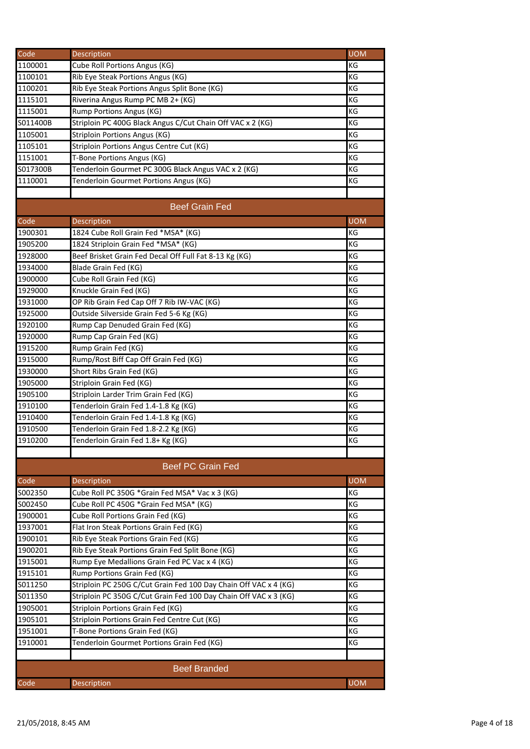| Code                | Description                                                      | <b>UOM</b> |
|---------------------|------------------------------------------------------------------|------------|
| 1100001             | Cube Roll Portions Angus (KG)                                    | KG         |
| 1100101             | Rib Eye Steak Portions Angus (KG)                                | KG         |
| 1100201             | Rib Eye Steak Portions Angus Split Bone (KG)                     | KG         |
| 1115101             | Riverina Angus Rump PC MB 2+ (KG)                                | KG         |
| 1115001             | Rump Portions Angus (KG)                                         | KG         |
| S011400B            | Striploin PC 400G Black Angus C/Cut Chain Off VAC x 2 (KG)       | KG         |
| 1105001             | <b>Striploin Portions Angus (KG)</b>                             | KG         |
| 1105101             | Striploin Portions Angus Centre Cut (KG)                         | KG         |
| 1151001             | T-Bone Portions Angus (KG)                                       | KG         |
| S017300B            | Tenderloin Gourmet PC 300G Black Angus VAC x 2 (KG)              | KG         |
| 1110001             | Tenderloin Gourmet Portions Angus (KG)                           | КG         |
|                     |                                                                  |            |
|                     | <b>Beef Grain Fed</b>                                            |            |
| Code                | Description                                                      | <b>UOM</b> |
| 1900301             | 1824 Cube Roll Grain Fed *MSA* (KG)                              | KG         |
| 1905200             | 1824 Striploin Grain Fed *MSA* (KG)                              | KG         |
| 1928000             | Beef Brisket Grain Fed Decal Off Full Fat 8-13 Kg (KG)           | KG         |
| 1934000             | Blade Grain Fed (KG)                                             | KG         |
| 1900000             | Cube Roll Grain Fed (KG)                                         | KG         |
| 1929000             | Knuckle Grain Fed (KG)                                           | KG         |
| 1931000             | OP Rib Grain Fed Cap Off 7 Rib IW-VAC (KG)                       | KG         |
| 1925000             | Outside Silverside Grain Fed 5-6 Kg (KG)                         | KG         |
| 1920100             | Rump Cap Denuded Grain Fed (KG)                                  | KG         |
| 1920000             | Rump Cap Grain Fed (KG)                                          | KG         |
| 1915200             | Rump Grain Fed (KG)                                              | KG         |
| 1915000             | Rump/Rost Biff Cap Off Grain Fed (KG)                            | KG         |
| 1930000             | Short Ribs Grain Fed (KG)                                        | KG         |
| 1905000             | Striploin Grain Fed (KG)                                         | KG         |
| 1905100             | Striploin Larder Trim Grain Fed (KG)                             | KG         |
| 1910100             | Tenderloin Grain Fed 1.4-1.8 Kg (KG)                             | ΚG         |
| 1910400             | Tenderloin Grain Fed 1.4-1.8 Kg (KG)                             | KG         |
| 1910500             | Tenderloin Grain Fed 1.8-2.2 Kg (KG)                             | KG         |
| 1910200             | Tenderloin Grain Fed 1.8+ Kg (KG)                                | KG         |
|                     |                                                                  |            |
|                     |                                                                  |            |
|                     | <b>Beef PC Grain Fed</b>                                         |            |
| Code                | Description                                                      | <b>UOM</b> |
| S002350             | Cube Roll PC 350G *Grain Fed MSA* Vac x 3 (KG)                   | KG         |
| S002450             | Cube Roll PC 450G *Grain Fed MSA* (KG)                           | KG         |
| 1900001             | Cube Roll Portions Grain Fed (KG)                                | KG         |
| 1937001             | Flat Iron Steak Portions Grain Fed (KG)                          | KG         |
| 1900101             | Rib Eye Steak Portions Grain Fed (KG)                            | КG         |
| 1900201             | Rib Eye Steak Portions Grain Fed Split Bone (KG)                 | KG         |
| 1915001             | Rump Eye Medallions Grain Fed PC Vac x 4 (KG)                    | KG         |
| 1915101             | Rump Portions Grain Fed (KG)                                     | KG         |
| S011250             | Striploin PC 250G C/Cut Grain Fed 100 Day Chain Off VAC x 4 (KG) | KG         |
| S011350             | Striploin PC 350G C/Cut Grain Fed 100 Day Chain Off VAC x 3 (KG) | KG         |
| 1905001             | Striploin Portions Grain Fed (KG)                                | KG         |
| 1905101             | Striploin Portions Grain Fed Centre Cut (KG)                     | KG         |
| 1951001             | T-Bone Portions Grain Fed (KG)                                   | KG         |
| 1910001             | Tenderloin Gourmet Portions Grain Fed (KG)                       | KG         |
|                     |                                                                  |            |
| <b>Beef Branded</b> |                                                                  |            |
| Code                | Description                                                      | <b>UOM</b> |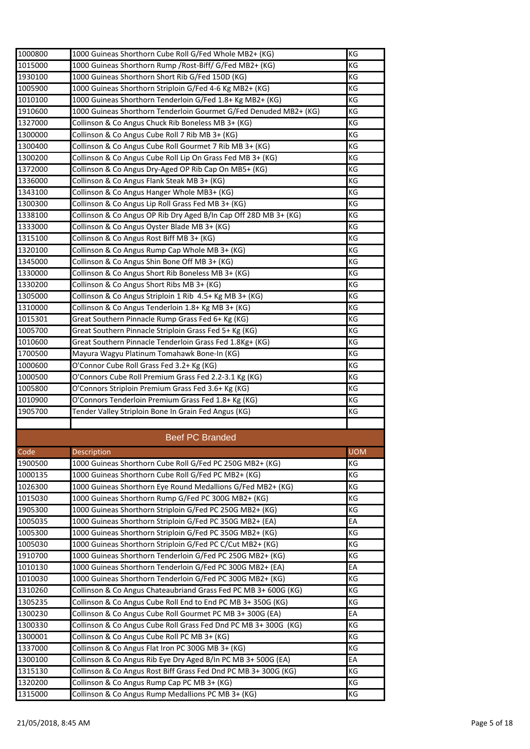| 1000800 | 1000 Guineas Shorthorn Cube Roll G/Fed Whole MB2+ (KG)            | KG         |
|---------|-------------------------------------------------------------------|------------|
| 1015000 | 1000 Guineas Shorthorn Rump / Rost-Biff/ G/Fed MB2+ (KG)          | KG         |
| 1930100 | 1000 Guineas Shorthorn Short Rib G/Fed 150D (KG)                  | ΚG         |
| 1005900 | 1000 Guineas Shorthorn Striploin G/Fed 4-6 Kg MB2+ (KG)           | ΚG         |
| 1010100 | 1000 Guineas Shorthorn Tenderloin G/Fed 1.8+ Kg MB2+ (KG)         | ΚG         |
| 1910600 | 1000 Guineas Shorthorn Tenderloin Gourmet G/Fed Denuded MB2+ (KG) | ΚG         |
| 1327000 | Collinson & Co Angus Chuck Rib Boneless MB 3+ (KG)                | ΚG         |
| 1300000 | Collinson & Co Angus Cube Roll 7 Rib MB 3+ (KG)                   | KG         |
| 1300400 | Collinson & Co Angus Cube Roll Gourmet 7 Rib MB 3+ (KG)           | KG         |
| 1300200 | Collinson & Co Angus Cube Roll Lip On Grass Fed MB 3+ (KG)        | KG         |
| 1372000 | Collinson & Co Angus Dry-Aged OP Rib Cap On MB5+ (KG)             | ΚG         |
| 1336000 | Collinson & Co Angus Flank Steak MB 3+ (KG)                       | ΚG         |
| 1343100 | Collinson & Co Angus Hanger Whole MB3+ (KG)                       | KG         |
| 1300300 | Collinson & Co Angus Lip Roll Grass Fed MB 3+ (KG)                | ΚG         |
| 1338100 | Collinson & Co Angus OP Rib Dry Aged B/In Cap Off 28D MB 3+ (KG)  | KG         |
| 1333000 | Collinson & Co Angus Oyster Blade MB 3+ (KG)                      | КG         |
| 1315100 | Collinson & Co Angus Rost Biff MB 3+ (KG)                         | ΚG         |
|         |                                                                   | ΚG         |
| 1320100 | Collinson & Co Angus Rump Cap Whole MB 3+ (KG)                    |            |
| 1345000 | Collinson & Co Angus Shin Bone Off MB 3+ (KG)                     | ΚG         |
| 1330000 | Collinson & Co Angus Short Rib Boneless MB 3+ (KG)                | KG         |
| 1330200 | Collinson & Co Angus Short Ribs MB 3+ (KG)                        | ΚG         |
| 1305000 | Collinson & Co Angus Striploin 1 Rib 4.5+ Kg MB 3+ (KG)           | ΚG         |
| 1310000 | Collinson & Co Angus Tenderloin 1.8+ Kg MB 3+ (KG)                | KG         |
| 1015301 | Great Southern Pinnacle Rump Grass Fed 6+ Kg (KG)                 | ΚG         |
| 1005700 | Great Southern Pinnacle Striploin Grass Fed 5+ Kg (KG)            | ΚG         |
| 1010600 | Great Southern Pinnacle Tenderloin Grass Fed 1.8Kg+ (KG)          | KG         |
| 1700500 | Mayura Wagyu Platinum Tomahawk Bone-In (KG)                       | KG         |
| 1000600 | O'Connor Cube Roll Grass Fed 3.2+ Kg (KG)                         | ΚG         |
| 1000500 | O'Connors Cube Roll Premium Grass Fed 2.2-3.1 Kg (KG)             | КG         |
| 1005800 | O'Connors Striploin Premium Grass Fed 3.6+ Kg (KG)                | ΚG         |
| 1010900 | O'Connors Tenderloin Premium Grass Fed 1.8+ Kg (KG)               | KG         |
| 1905700 | Tender Valley Striploin Bone In Grain Fed Angus (KG)              | ΚG         |
|         |                                                                   |            |
|         | <b>Beef PC Branded</b>                                            |            |
| Code    | Description                                                       | <b>UOM</b> |
| 1900500 | 1000 Guineas Shorthorn Cube Roll G/Fed PC 250G MB2+ (KG)          | ΚG         |
| 1000135 | 1000 Guineas Shorthorn Cube Roll G/Fed PC MB2+ (KG)               | КG         |
| 1026300 | 1000 Guineas Shorthorn Eye Round Medallions G/Fed MB2+ (KG)       | КG         |
| 1015030 | 1000 Guineas Shorthorn Rump G/Fed PC 300G MB2+ (KG)               | ΚG         |
| 1905300 | 1000 Guineas Shorthorn Striploin G/Fed PC 250G MB2+ (KG)          | КG         |
| 1005035 | 1000 Guineas Shorthorn Striploin G/Fed PC 350G MB2+ (EA)          | EA         |
| 1005300 | 1000 Guineas Shorthorn Striploin G/Fed PC 350G MB2+ (KG)          | КG         |
| 1005030 | 1000 Guineas Shorthorn Striploin G/Fed PC C/Cut MB2+ (KG)         | КG         |
| 1910700 | 1000 Guineas Shorthorn Tenderloin G/Fed PC 250G MB2+ (KG)         | КG         |
| 1010130 | 1000 Guineas Shorthorn Tenderloin G/Fed PC 300G MB2+ (EA)         | EA         |
| 1010030 | 1000 Guineas Shorthorn Tenderloin G/Fed PC 300G MB2+ (KG)         | КG         |
| 1310260 | Collinson & Co Angus Chateaubriand Grass Fed PC MB 3+ 600G (KG)   | ΚG         |
| 1305235 | Collinson & Co Angus Cube Roll End to End PC MB 3+ 350G (KG)      | КG         |
| 1300230 | Collinson & Co Angus Cube Roll Gourmet PC MB 3+ 300G (EA)         | EA         |
| 1300330 | Collinson & Co Angus Cube Roll Grass Fed Dnd PC MB 3+ 300G (KG)   | ΚG         |
| 1300001 | Collinson & Co Angus Cube Roll PC MB 3+ (KG)                      | KG         |
| 1337000 | Collinson & Co Angus Flat Iron PC 300G MB 3+ (KG)                 | ΚG         |
| 1300100 | Collinson & Co Angus Rib Eye Dry Aged B/In PC MB 3+ 500G (EA)     | EA         |
| 1315130 |                                                                   |            |
|         | Collinson & Co Angus Rost Biff Grass Fed Dnd PC MB 3+ 300G (KG)   | ΚG         |
| 1320200 | Collinson & Co Angus Rump Cap PC MB 3+ (KG)                       | КG         |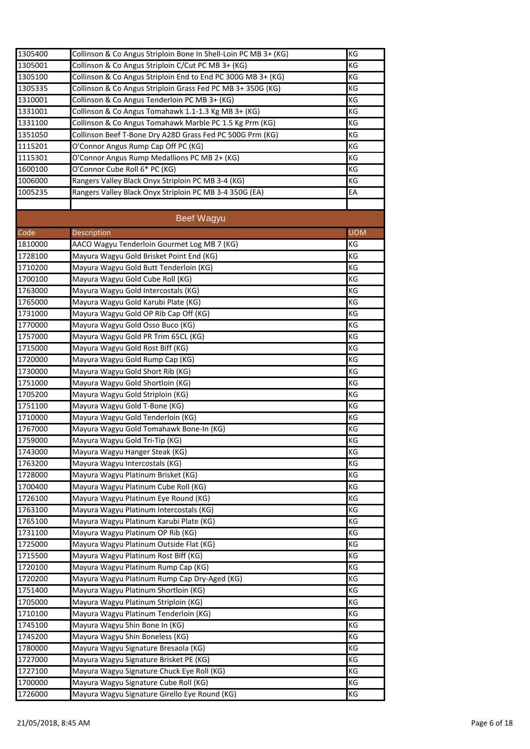| 1305400 | Collinson & Co Angus Striploin Bone In Shell-Loin PC MB 3+ (KG) | KG         |
|---------|-----------------------------------------------------------------|------------|
| 1305001 | Collinson & Co Angus Striploin C/Cut PC MB 3+ (KG)              | KG         |
| 1305100 | Collinson & Co Angus Striploin End to End PC 300G MB 3+ (KG)    | ΚG         |
| 1305335 | Collinson & Co Angus Striploin Grass Fed PC MB 3+ 350G (KG)     | KG         |
| 1310001 | Collinson & Co Angus Tenderloin PC MB 3+ (KG)                   | ΚG         |
| 1331001 | Collinson & Co Angus Tomahawk 1.1-1.3 Kg MB 3+ (KG)             | ΚG         |
| 1331100 | Collinson & Co Angus Tomahawk Marble PC 1.5 Kg Prm (KG)         | ΚG         |
| 1351050 | Collinson Beef T-Bone Dry A28D Grass Fed PC 500G Prm (KG)       | КG         |
| 1115201 | O'Connor Angus Rump Cap Off PC (KG)                             | ΚG         |
| 1115301 | O'Connor Angus Rump Medallions PC MB 2+ (KG)                    | KG         |
| 1600100 | O'Connor Cube Roll 6* PC (KG)                                   | ΚG         |
| 1006000 | Rangers Valley Black Onyx Striploin PC MB 3-4 (KG)              | ΚG         |
| 1005235 | Rangers Valley Black Onyx Striploin PC MB 3-4 350G (EA)         | EA         |
|         |                                                                 |            |
|         | Beef Wagyu                                                      |            |
| Code    | Description                                                     | <b>UOM</b> |
| 1810000 | AACO Wagyu Tenderloin Gourmet Log MB 7 (KG)                     | ΚG         |
| 1728100 | Mayura Wagyu Gold Brisket Point End (KG)                        | ΚG         |
| 1710200 | Mayura Wagyu Gold Butt Tenderloin (KG)                          | КG         |
| 1700100 | Mayura Wagyu Gold Cube Roll (KG)                                | КG         |
| 1763000 | Mayura Wagyu Gold Intercostals (KG)                             | ΚG         |
| 1765000 | Mayura Wagyu Gold Karubi Plate (KG)                             | KG         |
| 1731000 | Mayura Wagyu Gold OP Rib Cap Off (KG)                           | KG         |
|         |                                                                 | ΚG         |
| 1770000 | Mayura Wagyu Gold Osso Buco (KG)                                | ΚG         |
| 1757000 | Mayura Wagyu Gold PR Trim 65CL (KG)                             |            |
| 1715000 | Mayura Wagyu Gold Rost Biff (KG)                                | ΚG         |
| 1720000 | Mayura Wagyu Gold Rump Cap (KG)                                 | КG         |
| 1730000 | Mayura Wagyu Gold Short Rib (KG)                                | KG         |
| 1751000 | Mayura Wagyu Gold Shortloin (KG)                                | KG         |
| 1705200 | Mayura Wagyu Gold Striploin (KG)                                | ΚG         |
| 1751100 | Mayura Wagyu Gold T-Bone (KG)                                   | ΚG         |
| 1710000 | Mayura Wagyu Gold Tenderloin (KG)                               | КG         |
| 1767000 | Mayura Wagyu Gold Tomahawk Bone-In (KG)                         | КG         |
| 1759000 | Mayura Wagyu Gold Tri-Tip (KG)                                  | KG         |
| 1743000 | Mayura Wagyu Hanger Steak (KG)                                  | KG         |
| 1763200 | Mayura Wagyu Intercostals (KG)                                  | ΚG         |
| 1728000 | Mayura Wagyu Platinum Brisket (KG)                              | ΚG         |
| 1700400 | Mayura Wagyu Platinum Cube Roll (KG)                            | КG         |
| 1726100 | Mayura Wagyu Platinum Eye Round (KG)                            | ΚG         |
| 1763100 | Mayura Wagyu Platinum Intercostals (KG)                         | ΚG         |
| 1765100 | Mayura Wagyu Platinum Karubi Plate (KG)                         | ΚG         |
| 1731100 | Mayura Wagyu Platinum OP Rib (KG)                               | ΚG         |
| 1725000 | Mayura Wagyu Platinum Outside Flat (KG)                         | ΚG         |
| 1715500 | Mayura Wagyu Platinum Rost Biff (KG)                            | КG         |
| 1720100 | Mayura Wagyu Platinum Rump Cap (KG)                             | КG         |
| 1720200 | Mayura Wagyu Platinum Rump Cap Dry-Aged (KG)                    | КG         |
| 1751400 | Mayura Wagyu Platinum Shortloin (KG)                            | ΚG         |
| 1705000 | Mayura Wagyu Platinum Striploin (KG)                            | ΚG         |
| 1710100 | Mayura Wagyu Platinum Tenderloin (KG)                           | КG         |
| 1745100 | Mayura Wagyu Shin Bone In (KG)                                  | КG         |
| 1745200 | Mayura Wagyu Shin Boneless (KG)                                 | КG         |
| 1780000 | Mayura Wagyu Signature Bresaola (KG)                            | КG         |
| 1727000 | Mayura Wagyu Signature Brisket PE (KG)                          | ΚG         |
| 1727100 | Mayura Wagyu Signature Chuck Eye Roll (KG)                      | ΚG         |
| 1700000 | Mayura Wagyu Signature Cube Roll (KG)                           | КG         |
| 1726000 | Mayura Wagyu Signature Girello Eye Round (KG)                   | КG         |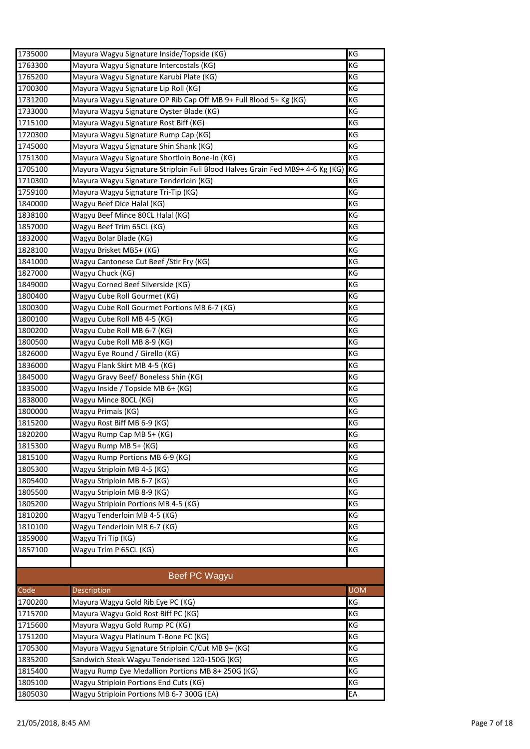| 1735000 | Mayura Wagyu Signature Inside/Topside (KG)                                    | KG         |
|---------|-------------------------------------------------------------------------------|------------|
| 1763300 | Mayura Wagyu Signature Intercostals (KG)                                      | КG         |
| 1765200 | Mayura Wagyu Signature Karubi Plate (KG)                                      | КG         |
| 1700300 | Mayura Wagyu Signature Lip Roll (KG)                                          | ΚG         |
| 1731200 | Mayura Wagyu Signature OP Rib Cap Off MB 9+ Full Blood 5+ Kg (KG)             | КG         |
| 1733000 | Mayura Wagyu Signature Oyster Blade (KG)                                      | ΚG         |
| 1715100 | Mayura Wagyu Signature Rost Biff (KG)                                         | КG         |
| 1720300 | Mayura Wagyu Signature Rump Cap (KG)                                          | КG         |
| 1745000 | Mayura Wagyu Signature Shin Shank (KG)                                        | ΚG         |
| 1751300 | Mayura Wagyu Signature Shortloin Bone-In (KG)                                 | KG         |
| 1705100 | Mayura Wagyu Signature Striploin Full Blood Halves Grain Fed MB9+ 4-6 Kg (KG) | KG         |
| 1710300 | Mayura Wagyu Signature Tenderloin (KG)                                        | КG         |
| 1759100 | Mayura Wagyu Signature Tri-Tip (KG)                                           | КG         |
| 1840000 | Wagyu Beef Dice Halal (KG)                                                    | КG         |
| 1838100 | Wagyu Beef Mince 80CL Halal (KG)                                              | КG         |
| 1857000 | Wagyu Beef Trim 65CL (KG)                                                     | КG         |
| 1832000 | Wagyu Bolar Blade (KG)                                                        | KG         |
| 1828100 | Wagyu Brisket MB5+ (KG)                                                       | ΚG         |
| 1841000 | Wagyu Cantonese Cut Beef / Stir Fry (KG)                                      | ΚG         |
| 1827000 | Wagyu Chuck (KG)                                                              | КG         |
| 1849000 | Wagyu Corned Beef Silverside (KG)                                             | КG         |
| 1800400 | Wagyu Cube Roll Gourmet (KG)                                                  | ΚG         |
| 1800300 | Wagyu Cube Roll Gourmet Portions MB 6-7 (KG)                                  | ΚG         |
| 1800100 | Wagyu Cube Roll MB 4-5 (KG)                                                   | ΚG         |
| 1800200 | Wagyu Cube Roll MB 6-7 (KG)                                                   | КG         |
| 1800500 | Wagyu Cube Roll MB 8-9 (KG)                                                   | КG         |
| 1826000 | Wagyu Eye Round / Girello (KG)                                                | КG         |
| 1836000 | Wagyu Flank Skirt MB 4-5 (KG)                                                 | КG         |
| 1845000 | Wagyu Gravy Beef/ Boneless Shin (KG)                                          | ΚG         |
| 1835000 | Wagyu Inside / Topside MB 6+ (KG)                                             | КG         |
| 1838000 | Wagyu Mince 80CL (KG)                                                         | ΚG         |
| 1800000 | Wagyu Primals (KG)                                                            | КG         |
| 1815200 | Wagyu Rost Biff MB 6-9 (KG)                                                   | КG         |
| 1820200 | Wagyu Rump Cap MB 5+ (KG)                                                     | ΚG         |
| 1815300 | Wagyu Rump MB 5+ (KG)                                                         | ΚG         |
| 1815100 | Wagyu Rump Portions MB 6-9 (KG)                                               | ΚG         |
| 1805300 | Wagyu Striploin MB 4-5 (KG)                                                   | КG         |
| 1805400 | Wagyu Striploin MB 6-7 (KG)                                                   | КG         |
| 1805500 | Wagyu Striploin MB 8-9 (KG)                                                   | КG         |
| 1805200 | Wagyu Striploin Portions MB 4-5 (KG)                                          | ΚG         |
| 1810200 | Wagyu Tenderloin MB 4-5 (KG)                                                  | KG         |
| 1810100 | Wagyu Tenderloin MB 6-7 (KG)                                                  | ΚG         |
| 1859000 | Wagyu Tri Tip (KG)                                                            | КG         |
| 1857100 | Wagyu Trim P 65CL (KG)                                                        | ΚG         |
|         |                                                                               |            |
|         |                                                                               |            |
|         | Beef PC Wagyu                                                                 |            |
| Code    | Description                                                                   | <b>UOM</b> |
| 1700200 | Mayura Wagyu Gold Rib Eye PC (KG)                                             | ΚG         |
| 1715700 | Mayura Wagyu Gold Rost Biff PC (KG)                                           | ΚG         |
| 1715600 | Mayura Wagyu Gold Rump PC (KG)                                                | ΚG         |
| 1751200 | Mayura Wagyu Platinum T-Bone PC (KG)                                          | КG         |
| 1705300 | Mayura Wagyu Signature Striploin C/Cut MB 9+ (KG)                             | ΚG         |
| 1835200 | Sandwich Steak Wagyu Tenderised 120-150G (KG)                                 | ΚG         |
| 1815400 | Wagyu Rump Eye Medallion Portions MB 8+ 250G (KG)                             | КG         |
| 1805100 | Wagyu Striploin Portions End Cuts (KG)                                        | КG         |
| 1805030 | Wagyu Striploin Portions MB 6-7 300G (EA)                                     | EA         |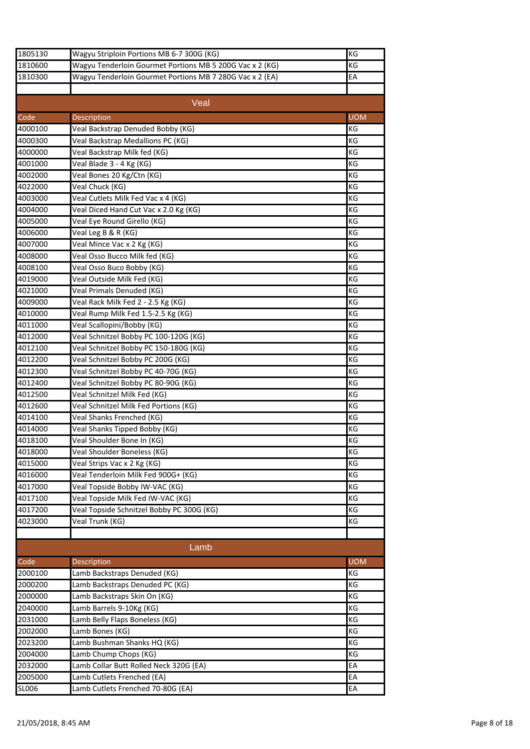| 1805130            | Wagyu Striploin Portions MB 6-7 300G (KG)                         | KG         |
|--------------------|-------------------------------------------------------------------|------------|
| 1810600            | Wagyu Tenderloin Gourmet Portions MB 5 200G Vac x 2 (KG)          | KG         |
| 1810300            | Wagyu Tenderloin Gourmet Portions MB 7 280G Vac x 2 (EA)          | EA         |
|                    |                                                                   |            |
|                    | Veal                                                              |            |
| Code               |                                                                   | <b>UOM</b> |
|                    | Description                                                       | KG         |
| 4000100            | Veal Backstrap Denuded Bobby (KG)                                 | KG         |
| 4000300<br>4000000 | Veal Backstrap Medallions PC (KG)<br>Veal Backstrap Milk fed (KG) |            |
|                    |                                                                   | KG<br>KG   |
| 4001000            | Veal Blade 3 - 4 Kg (KG)                                          |            |
| 4002000            | Veal Bones 20 Kg/Ctn (KG)                                         | KG         |
| 4022000            | Veal Chuck (KG)                                                   | KG         |
| 4003000            | Veal Cutlets Milk Fed Vac x 4 (KG)                                | KG         |
| 4004000            | Veal Diced Hand Cut Vac x 2.0 Kg (KG)                             | KG         |
| 4005000            | Veal Eye Round Girello (KG)                                       | KG         |
| 4006000            | Veal Leg B & R (KG)                                               | KG         |
| 4007000            | Veal Mince Vac x 2 Kg (KG)                                        | KG         |
| 4008000            | Veal Osso Bucco Milk fed (KG)                                     | KG         |
| 4008100            | Veal Osso Buco Bobby (KG)                                         | KG         |
| 4019000            | Veal Outside Milk Fed (KG)                                        | KG         |
| 4021000            | Veal Primals Denuded (KG)                                         | KG         |
| 4009000            | Veal Rack Milk Fed 2 - 2.5 Kg (KG)                                | KG         |
| 4010000            | Veal Rump Milk Fed 1.5-2.5 Kg (KG)                                | ΚG         |
| 4011000            | Veal Scallopini/Bobby (KG)                                        | KG         |
| 4012000            | Veal Schnitzel Bobby PC 100-120G (KG)                             | ΚG         |
| 4012100            | Veal Schnitzel Bobby PC 150-180G (KG)                             | KG         |
| 4012200            | Veal Schnitzel Bobby PC 200G (KG)                                 | KG         |
| 4012300            | Veal Schnitzel Bobby PC 40-70G (KG)                               | KG         |
| 4012400            | Veal Schnitzel Bobby PC 80-90G (KG)                               | KG         |
| 4012500            | Veal Schnitzel Milk Fed (KG)                                      | KG         |
| 4012600            | Veal Schnitzel Milk Fed Portions (KG)                             | KG         |
| 4014100            | Veal Shanks Frenched (KG)                                         | KG         |
| 4014000            | Veal Shanks Tipped Bobby (KG)                                     | KG         |
| 4018100            | Veal Shoulder Bone In (KG)                                        | KG         |
| 4018000            | Veal Shoulder Boneless (KG)                                       | KG         |
| 4015000            | Veal Strips Vac x 2 Kg (KG)                                       | KG         |
| 4016000            | Veal Tenderloin Milk Fed 900G+ (KG)                               | KG         |
| 4017000            | Veal Topside Bobby IW-VAC (KG)                                    | KG         |
| 4017100            | Veal Topside Milk Fed IW-VAC (KG)                                 | KG         |
| 4017200            | Veal Topside Schnitzel Bobby PC 300G (KG)                         | KG         |
| 4023000            | Veal Trunk (KG)                                                   | KG         |
|                    |                                                                   |            |
|                    | Lamb                                                              |            |
| Code               | Description                                                       | <b>UOM</b> |
| 2000100            | Lamb Backstraps Denuded (KG)                                      | KG         |
| 2000200            | Lamb Backstraps Denuded PC (KG)                                   | KG         |
| 2000000            | Lamb Backstraps Skin On (KG)                                      | KG         |
| 2040000            | Lamb Barrels 9-10Kg (KG)                                          | KG         |
| 2031000            | Lamb Belly Flaps Boneless (KG)                                    | KG         |
| 2002000            | Lamb Bones (KG)                                                   | KG         |
| 2023200            | Lamb Bushman Shanks HQ (KG)                                       | KG         |
| 2004000            | Lamb Chump Chops (KG)                                             | KG         |
| 2032000            | Lamb Collar Butt Rolled Neck 320G (EA)                            | EA         |
| 2005000            | Lamb Cutlets Frenched (EA)                                        | EA         |
|                    |                                                                   |            |
| SL006              | Lamb Cutlets Frenched 70-80G (EA)                                 | EA         |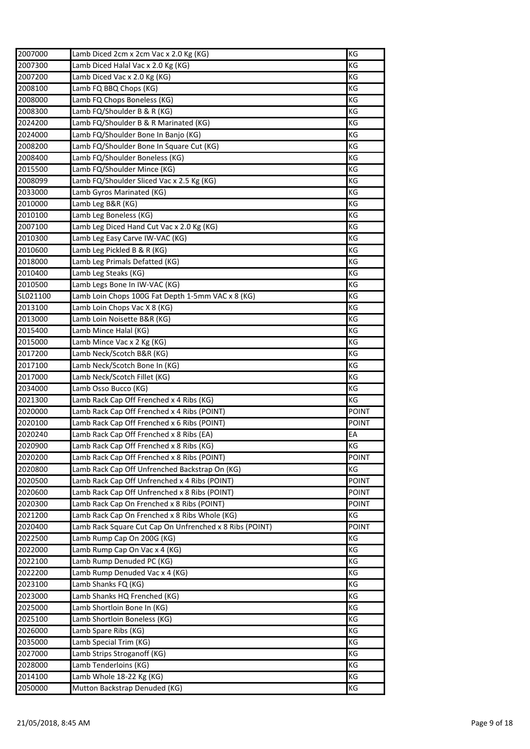| 2007000  | Lamb Diced 2cm x 2cm Vac x 2.0 Kg (KG)                  | KG           |
|----------|---------------------------------------------------------|--------------|
| 2007300  | Lamb Diced Halal Vac x 2.0 Kg (KG)                      | KG           |
| 2007200  | Lamb Diced Vac x 2.0 Kg (KG)                            | ΚG           |
| 2008100  | Lamb FQ BBQ Chops (KG)                                  | ΚG           |
| 2008000  | Lamb FQ Chops Boneless (KG)                             | ΚG           |
| 2008300  | Lamb FQ/Shoulder B & R (KG)                             | ΚG           |
| 2024200  | Lamb FQ/Shoulder B & R Marinated (KG)                   | ΚG           |
| 2024000  | Lamb FQ/Shoulder Bone In Banjo (KG)                     | ΚG           |
| 2008200  | Lamb FQ/Shoulder Bone In Square Cut (KG)                | KG           |
| 2008400  | Lamb FQ/Shoulder Boneless (KG)                          | ΚG           |
| 2015500  | Lamb FQ/Shoulder Mince (KG)                             | KG           |
| 2008099  | Lamb FQ/Shoulder Sliced Vac x 2.5 Kg (KG)               | ΚG           |
| 2033000  | Lamb Gyros Marinated (KG)                               | ΚG           |
| 2010000  | Lamb Leg B&R (KG)                                       | ΚG           |
| 2010100  | Lamb Leg Boneless (KG)                                  | KG           |
| 2007100  | Lamb Leg Diced Hand Cut Vac x 2.0 Kg (KG)               | ΚG           |
| 2010300  | Lamb Leg Easy Carve IW-VAC (KG)                         | ΚG           |
| 2010600  | Lamb Leg Pickled B & R (KG)                             | ΚG           |
| 2018000  | Lamb Leg Primals Defatted (KG)                          | ΚG           |
| 2010400  | Lamb Leg Steaks (KG)                                    | ΚG           |
| 2010500  | Lamb Legs Bone In IW-VAC (KG)                           | KG           |
| SL021100 | Lamb Loin Chops 100G Fat Depth 1-5mm VAC x 8 (KG)       | ΚG           |
| 2013100  | Lamb Loin Chops Vac X 8 (KG)                            | ΚG           |
| 2013000  | Lamb Loin Noisette B&R (KG)                             | KG           |
| 2015400  | Lamb Mince Halal (KG)                                   | ΚG           |
| 2015000  | Lamb Mince Vac x 2 Kg (KG)                              | ΚG           |
| 2017200  | Lamb Neck/Scotch B&R (KG)                               | KG           |
| 2017100  | Lamb Neck/Scotch Bone In (KG)                           | ΚG           |
| 2017000  | Lamb Neck/Scotch Fillet (KG)                            | ΚG           |
| 2034000  | Lamb Osso Bucco (KG)                                    | ΚG           |
| 2021300  | Lamb Rack Cap Off Frenched x 4 Ribs (KG)                | ΚG           |
| 2020000  | Lamb Rack Cap Off Frenched x 4 Ribs (POINT)             | <b>POINT</b> |
| 2020100  | Lamb Rack Cap Off Frenched x 6 Ribs (POINT)             | POINT        |
| 2020240  | Lamb Rack Cap Off Frenched x 8 Ribs (EA)                | EA           |
| 2020900  | Lamb Rack Cap Off Frenched x 8 Ribs (KG)                | KG           |
| 2020200  | Lamb Rack Cap Off Frenched x 8 Ribs (POINT)             | POINT        |
| 2020800  | Lamb Rack Cap Off Unfrenched Backstrap On (KG)          | КG           |
| 2020500  | Lamb Rack Cap Off Unfrenched x 4 Ribs (POINT)           | <b>POINT</b> |
| 2020600  | Lamb Rack Cap Off Unfrenched x 8 Ribs (POINT)           | <b>POINT</b> |
| 2020300  | Lamb Rack Cap On Frenched x 8 Ribs (POINT)              | <b>POINT</b> |
| 2021200  | Lamb Rack Cap On Frenched x 8 Ribs Whole (KG)           | КG           |
| 2020400  | Lamb Rack Square Cut Cap On Unfrenched x 8 Ribs (POINT) | <b>POINT</b> |
| 2022500  | Lamb Rump Cap On 200G (KG)                              | ΚG           |
| 2022000  | Lamb Rump Cap On Vac x 4 (KG)                           | ΚG           |
| 2022100  | Lamb Rump Denuded PC (KG)                               | КG           |
| 2022200  | Lamb Rump Denuded Vac x 4 (KG)                          | КG           |
| 2023100  | Lamb Shanks FQ (KG)                                     | КG           |
| 2023000  | Lamb Shanks HQ Frenched (KG)                            | KG           |
| 2025000  | Lamb Shortloin Bone In (KG)                             | KG           |
| 2025100  | Lamb Shortloin Boneless (KG)                            | КG           |
| 2026000  | Lamb Spare Ribs (KG)                                    | КG           |
| 2035000  |                                                         | KG           |
|          | Lamb Special Trim (KG)                                  |              |
| 2027000  | Lamb Strips Stroganoff (KG)                             | КG           |
| 2028000  | Lamb Tenderloins (KG)                                   | KG           |
| 2014100  | Lamb Whole 18-22 Kg (KG)                                | KG           |
| 2050000  | Mutton Backstrap Denuded (KG)                           | KG           |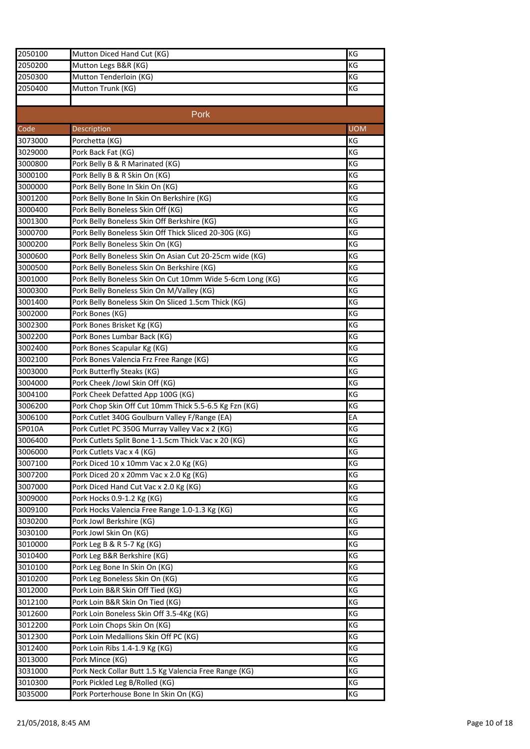| 2050100 | Mutton Diced Hand Cut (KG)                                | KG         |
|---------|-----------------------------------------------------------|------------|
| 2050200 | Mutton Legs B&R (KG)                                      | КG         |
| 2050300 | Mutton Tenderloin (KG)                                    | КG         |
| 2050400 | Mutton Trunk (KG)                                         | КG         |
|         |                                                           |            |
|         | Pork                                                      |            |
| Code    | Description                                               | <b>UOM</b> |
| 3073000 | Porchetta (KG)                                            | KG         |
| 3029000 | Pork Back Fat (KG)                                        | ΚG         |
| 3000800 | Pork Belly B & R Marinated (KG)                           | KG         |
| 3000100 | Pork Belly B & R Skin On (KG)                             | KG         |
| 3000000 | Pork Belly Bone In Skin On (KG)                           | ΚG         |
| 3001200 | Pork Belly Bone In Skin On Berkshire (KG)                 | КG         |
| 3000400 | Pork Belly Boneless Skin Off (KG)                         | КG         |
| 3001300 | Pork Belly Boneless Skin Off Berkshire (KG)               | ΚG         |
| 3000700 | Pork Belly Boneless Skin Off Thick Sliced 20-30G (KG)     | КG         |
| 3000200 | Pork Belly Boneless Skin On (KG)                          | КG         |
| 3000600 | Pork Belly Boneless Skin On Asian Cut 20-25cm wide (KG)   | ΚG         |
| 3000500 | Pork Belly Boneless Skin On Berkshire (KG)                | KG         |
| 3001000 | Pork Belly Boneless Skin On Cut 10mm Wide 5-6cm Long (KG) | ΚG         |
| 3000300 | Pork Belly Boneless Skin On M/Valley (KG)                 | ΚG         |
| 3001400 | Pork Belly Boneless Skin On Sliced 1.5cm Thick (KG)       | KG         |
| 3002000 | Pork Bones (KG)                                           | КG         |
| 3002300 | Pork Bones Brisket Kg (KG)                                | ΚG         |
| 3002200 | Pork Bones Lumbar Back (KG)                               | ΚG         |
| 3002400 | Pork Bones Scapular Kg (KG)                               | КG         |
| 3002100 | Pork Bones Valencia Frz Free Range (KG)                   | ΚG         |
| 3003000 | Pork Butterfly Steaks (KG)                                | KG         |
| 3004000 | Pork Cheek /Jowl Skin Off (KG)                            | ΚG         |
| 3004100 | Pork Cheek Defatted App 100G (KG)                         | КG         |
| 3006200 | Pork Chop Skin Off Cut 10mm Thick 5.5-6.5 Kg Fzn (KG)     | ΚG         |
| 3006100 | Pork Cutlet 340G Goulburn Valley F/Range (EA)             | EA         |
| SP010A  | Pork Cutlet PC 350G Murray Valley Vac x 2 (KG)            | ΚG         |
| 3006400 | Pork Cutlets Split Bone 1-1.5cm Thick Vac x 20 (KG)       | ΚG         |
| 3006000 | Pork Cutlets Vac x 4 (KG)                                 | ΚG         |
| 3007100 | Pork Diced 10 x 10mm Vac x 2.0 Kg (KG)                    | ΚG         |
| 3007200 | Pork Diced 20 x 20mm Vac x 2.0 Kg (KG)                    | ΚG         |
| 3007000 | Pork Diced Hand Cut Vac x 2.0 Kg (KG)                     | КG         |
| 3009000 | Pork Hocks 0.9-1.2 Kg (KG)                                | ΚG         |
| 3009100 | Pork Hocks Valencia Free Range 1.0-1.3 Kg (KG)            | КG         |
| 3030200 | Pork Jowl Berkshire (KG)                                  | ΚG         |
| 3030100 | Pork Jowl Skin On (KG)                                    | КG         |
| 3010000 | Pork Leg B & R 5-7 Kg (KG)                                | КG         |
| 3010400 | Pork Leg B&R Berkshire (KG)                               | КG         |
| 3010100 | Pork Leg Bone In Skin On (KG)                             | КG         |
| 3010200 | Pork Leg Boneless Skin On (KG)                            | ΚG         |
| 3012000 | Pork Loin B&R Skin Off Tied (KG)                          | КG         |
| 3012100 | Pork Loin B&R Skin On Tied (KG)                           | КG         |
| 3012600 | Pork Loin Boneless Skin Off 3.5-4Kg (KG)                  | КG         |
| 3012200 | Pork Loin Chops Skin On (KG)                              | KG         |
| 3012300 | Pork Loin Medallions Skin Off PC (KG)                     | КG         |
| 3012400 | Pork Loin Ribs 1.4-1.9 Kg (KG)                            | КG         |
| 3013000 | Pork Mince (KG)                                           | ΚG         |
| 3031000 | Pork Neck Collar Butt 1.5 Kg Valencia Free Range (KG)     | ΚG         |
| 3010300 | Pork Pickled Leg B/Rolled (KG)                            | КG         |
| 3035000 | Pork Porterhouse Bone In Skin On (KG)                     | КG         |
|         |                                                           |            |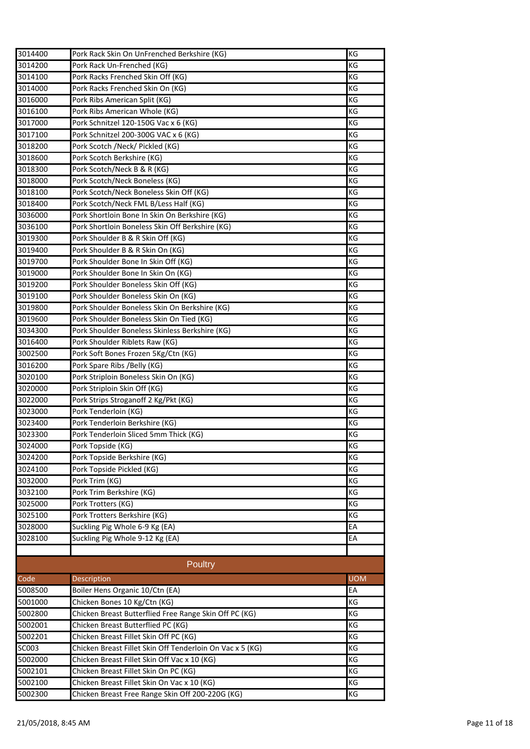| 3014400 | Pork Rack Skin On UnFrenched Berkshire (KG)                                            | ΚG         |
|---------|----------------------------------------------------------------------------------------|------------|
| 3014200 | Pork Rack Un-Frenched (KG)                                                             | KG         |
| 3014100 | Pork Racks Frenched Skin Off (KG)                                                      | KG         |
| 3014000 | Pork Racks Frenched Skin On (KG)                                                       | KG         |
| 3016000 | Pork Ribs American Split (KG)                                                          | ΚG         |
| 3016100 | Pork Ribs American Whole (KG)                                                          | ΚG         |
| 3017000 | Pork Schnitzel 120-150G Vac x 6 (KG)                                                   | KG         |
| 3017100 | Pork Schnitzel 200-300G VAC x 6 (KG)                                                   | KG         |
| 3018200 | Pork Scotch /Neck/ Pickled (KG)                                                        | KG         |
| 3018600 | Pork Scotch Berkshire (KG)                                                             | ΚG         |
| 3018300 | Pork Scotch/Neck B & R (KG)                                                            | ΚG         |
| 3018000 | Pork Scotch/Neck Boneless (KG)                                                         | ΚG         |
| 3018100 | Pork Scotch/Neck Boneless Skin Off (KG)                                                | KG         |
| 3018400 | Pork Scotch/Neck FML B/Less Half (KG)                                                  | KG         |
| 3036000 | Pork Shortloin Bone In Skin On Berkshire (KG)                                          | KG         |
| 3036100 | Pork Shortloin Boneless Skin Off Berkshire (KG)                                        | KG         |
| 3019300 | Pork Shoulder B & R Skin Off (KG)                                                      | KG         |
| 3019400 | Pork Shoulder B & R Skin On (KG)                                                       | ΚG         |
| 3019700 | Pork Shoulder Bone In Skin Off (KG)                                                    | KG         |
| 3019000 | Pork Shoulder Bone In Skin On (KG)                                                     | KG         |
| 3019200 | Pork Shoulder Boneless Skin Off (KG)                                                   | КG         |
| 3019100 | Pork Shoulder Boneless Skin On (KG)                                                    | KG         |
| 3019800 | Pork Shoulder Boneless Skin On Berkshire (KG)                                          | KG         |
| 3019600 | Pork Shoulder Boneless Skin On Tied (KG)                                               | КG         |
| 3034300 | Pork Shoulder Boneless Skinless Berkshire (KG)                                         | КG         |
| 3016400 | Pork Shoulder Riblets Raw (KG)                                                         | KG         |
| 3002500 | Pork Soft Bones Frozen 5Kg/Ctn (KG)                                                    | КG         |
| 3016200 | Pork Spare Ribs / Belly (KG)                                                           | КG         |
| 3020100 | Pork Striploin Boneless Skin On (KG)                                                   | KG         |
| 3020000 | Pork Striploin Skin Off (KG)                                                           | KG         |
| 3022000 | Pork Strips Stroganoff 2 Kg/Pkt (KG)                                                   | KG         |
| 3023000 | Pork Tenderloin (KG)                                                                   | KG         |
| 3023400 | Pork Tenderloin Berkshire (KG)                                                         | KG         |
| 3023300 | Pork Tenderloin Sliced 5mm Thick (KG)                                                  | КG         |
| 3024000 | Pork Topside (KG)                                                                      | KG         |
| 3024200 | Pork Topside Berkshire (KG)                                                            | KG         |
| 3024100 | Pork Topside Pickled (KG)                                                              | ΚG         |
| 3032000 | Pork Trim (KG)                                                                         | ΚG         |
| 3032100 | Pork Trim Berkshire (KG)                                                               | KG         |
| 3025000 | Pork Trotters (KG)                                                                     | KG         |
| 3025100 | Pork Trotters Berkshire (KG)                                                           | KG         |
| 3028000 | Suckling Pig Whole 6-9 Kg (EA)                                                         | EA         |
| 3028100 | Suckling Pig Whole 9-12 Kg (EA)                                                        | EA         |
|         |                                                                                        |            |
|         | Poultry                                                                                |            |
| Code    | Description                                                                            | <b>UOM</b> |
| 5008500 | Boiler Hens Organic 10/Ctn (EA)                                                        | EA         |
|         |                                                                                        |            |
| 5001000 | Chicken Bones 10 Kg/Ctn (KG)<br>Chicken Breast Butterflied Free Range Skin Off PC (KG) | КG         |
| 5002800 |                                                                                        | КG         |
| 5002001 | Chicken Breast Butterflied PC (KG)                                                     | KG         |
| 5002201 | Chicken Breast Fillet Skin Off PC (KG)                                                 | ΚG         |
| SC003   | Chicken Breast Fillet Skin Off Tenderloin On Vac x 5 (KG)                              | KG         |
| 5002000 | Chicken Breast Fillet Skin Off Vac x 10 (KG)                                           | KG         |
| 5002101 | Chicken Breast Fillet Skin On PC (KG)                                                  | KG         |
| 5002100 | Chicken Breast Fillet Skin On Vac x 10 (KG)                                            | ΚG         |
| 5002300 | Chicken Breast Free Range Skin Off 200-220G (KG)                                       | КG         |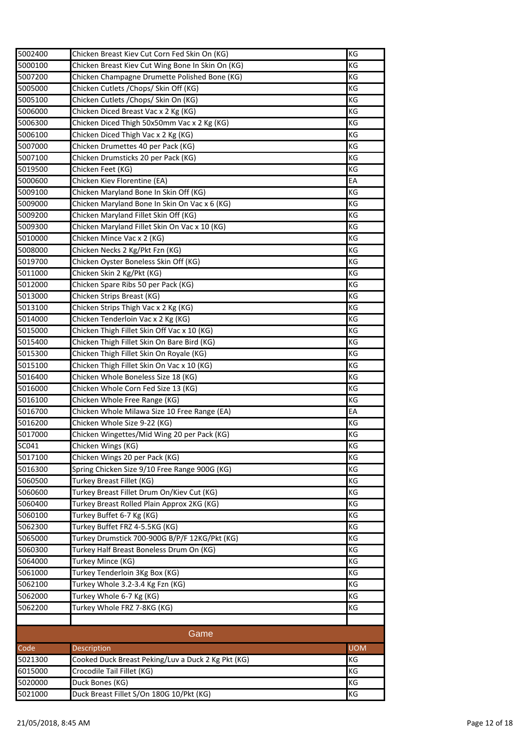| 5002400 | Chicken Breast Kiev Cut Corn Fed Skin On (KG)      | KG         |
|---------|----------------------------------------------------|------------|
| 5000100 | Chicken Breast Kiev Cut Wing Bone In Skin On (KG)  | КG         |
| 5007200 | Chicken Champagne Drumette Polished Bone (KG)      | KG         |
| 5005000 | Chicken Cutlets / Chops/ Skin Off (KG)             | KG         |
| 5005100 | Chicken Cutlets / Chops/ Skin On (KG)              | ΚG         |
| 5006000 | Chicken Diced Breast Vac x 2 Kg (KG)               | КG         |
| 5006300 | Chicken Diced Thigh 50x50mm Vac x 2 Kg (KG)        | КG         |
| 5006100 | Chicken Diced Thigh Vac x 2 Kg (KG)                | ΚG         |
| 5007000 | Chicken Drumettes 40 per Pack (KG)                 | KG         |
| 5007100 | Chicken Drumsticks 20 per Pack (KG)                | КG         |
| 5019500 | Chicken Feet (KG)                                  | ΚG         |
| 5000600 | Chicken Kiev Florentine (EA)                       | EA         |
| 5009100 | Chicken Maryland Bone In Skin Off (KG)             | KG         |
| 5009000 | Chicken Maryland Bone In Skin On Vac x 6 (KG)      | КG         |
| 5009200 | Chicken Maryland Fillet Skin Off (KG)              | KG         |
| 5009300 | Chicken Maryland Fillet Skin On Vac x 10 (KG)      | KG         |
| 5010000 | Chicken Mince Vac x 2 (KG)                         | КG         |
| 5008000 | Chicken Necks 2 Kg/Pkt Fzn (KG)                    | КG         |
| 5019700 | Chicken Oyster Boneless Skin Off (KG)              | КG         |
| 5011000 | Chicken Skin 2 Kg/Pkt (KG)                         | ΚG         |
| 5012000 | Chicken Spare Ribs 50 per Pack (KG)                | KG         |
| 5013000 | Chicken Strips Breast (KG)                         | KG         |
| 5013100 | Chicken Strips Thigh Vac x 2 Kg (KG)               | ΚG         |
| 5014000 | Chicken Tenderloin Vac x 2 Kg (KG)                 | KG         |
| 5015000 | Chicken Thigh Fillet Skin Off Vac x 10 (KG)        | КG         |
| 5015400 | Chicken Thigh Fillet Skin On Bare Bird (KG)        | ΚG         |
|         |                                                    | KG         |
| 5015300 | Chicken Thigh Fillet Skin On Royale (KG)           | KG         |
| 5015100 | Chicken Thigh Fillet Skin On Vac x 10 (KG)         |            |
| 5016400 | Chicken Whole Boneless Size 18 (KG)                | ΚG         |
| 5016000 | Chicken Whole Corn Fed Size 13 (KG)                | ΚG         |
| 5016100 | Chicken Whole Free Range (KG)                      | KG         |
| 5016700 | Chicken Whole Milawa Size 10 Free Range (EA)       | EA         |
| 5016200 | Chicken Whole Size 9-22 (KG)                       | KG         |
| 5017000 | Chicken Wingettes/Mid Wing 20 per Pack (KG)        | ΚG         |
| SC041   | Chicken Wings (KG)                                 | KG         |
| 5017100 | Chicken Wings 20 per Pack (KG)                     | КG         |
| 5016300 | Spring Chicken Size 9/10 Free Range 900G (KG)      | KG         |
| 5060500 | Turkey Breast Fillet (KG)                          | KG         |
| 5060600 | Turkey Breast Fillet Drum On/Kiev Cut (KG)         | ΚG         |
| 5060400 | Turkey Breast Rolled Plain Approx 2KG (KG)         | KG         |
| 5060100 | Turkey Buffet 6-7 Kg (KG)                          | KG         |
| 5062300 | Turkey Buffet FRZ 4-5.5KG (KG)                     | KG         |
| 5065000 | Turkey Drumstick 700-900G B/P/F 12KG/Pkt (KG)      | KG         |
| 5060300 | Turkey Half Breast Boneless Drum On (KG)           | KG         |
| 5064000 | Turkey Mince (KG)                                  | KG         |
| 5061000 | Turkey Tenderloin 3Kg Box (KG)                     | KG         |
| 5062100 | Turkey Whole 3.2-3.4 Kg Fzn (KG)                   | KG         |
| 5062000 | Turkey Whole 6-7 Kg (KG)                           | KG         |
| 5062200 | Turkey Whole FRZ 7-8KG (KG)                        | KG         |
|         |                                                    |            |
|         | Game                                               |            |
| Code    | Description                                        | <b>UOM</b> |
| 5021300 | Cooked Duck Breast Peking/Luv a Duck 2 Kg Pkt (KG) | ΚG         |
| 6015000 | Crocodile Tail Fillet (KG)                         | ΚG         |
| 5020000 | Duck Bones (KG)                                    | KG         |
| 5021000 | Duck Breast Fillet S/On 180G 10/Pkt (KG)           | KG         |
|         |                                                    |            |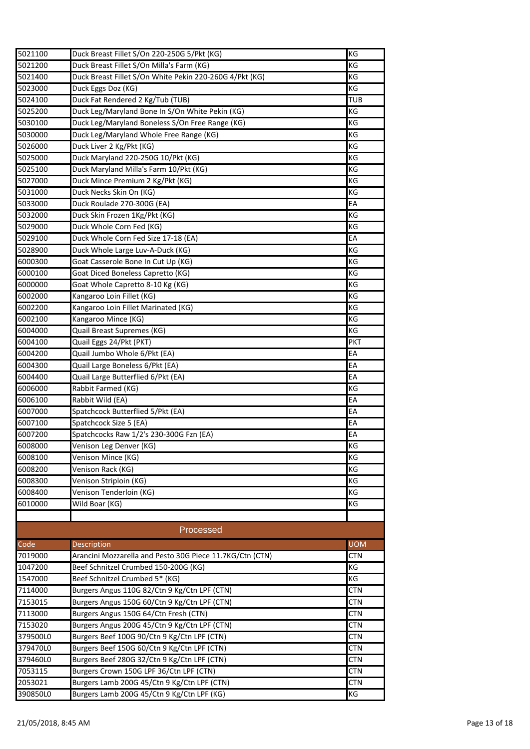| 5021100                  | Duck Breast Fillet S/On 220-250G 5/Pkt (KG)              | KG         |
|--------------------------|----------------------------------------------------------|------------|
| 5021200                  | Duck Breast Fillet S/On Milla's Farm (KG)                | KG         |
| 5021400                  | Duck Breast Fillet S/On White Pekin 220-260G 4/Pkt (KG)  | KG         |
| 5023000                  | Duck Eggs Doz (KG)                                       | KG         |
| 5024100                  | Duck Fat Rendered 2 Kg/Tub (TUB)                         | TUB        |
| 5025200                  | Duck Leg/Maryland Bone In S/On White Pekin (KG)          | KG         |
| 5030100                  | Duck Leg/Maryland Boneless S/On Free Range (KG)          | KG         |
| 5030000                  | Duck Leg/Maryland Whole Free Range (KG)                  | KG         |
| 5026000                  | Duck Liver 2 Kg/Pkt (KG)                                 | KG         |
| 5025000                  | Duck Maryland 220-250G 10/Pkt (KG)                       | KG         |
| 5025100                  | Duck Maryland Milla's Farm 10/Pkt (KG)                   | ΚG         |
| 5027000                  | Duck Mince Premium 2 Kg/Pkt (KG)                         | KG         |
| 5031000                  | Duck Necks Skin On (KG)                                  | KG         |
| 5033000                  | Duck Roulade 270-300G (EA)                               | EA         |
| 5032000                  | Duck Skin Frozen 1Kg/Pkt (KG)                            | ΚG         |
| 5029000                  | Duck Whole Corn Fed (KG)                                 | КG         |
| 5029100                  | Duck Whole Corn Fed Size 17-18 (EA)                      | EA         |
| 5028900                  | Duck Whole Large Luv-A-Duck (KG)                         | ΚG         |
| 6000300                  | Goat Casserole Bone In Cut Up (KG)                       | KG         |
| 6000100                  | Goat Diced Boneless Capretto (KG)                        | KG         |
| 6000000                  | Goat Whole Capretto 8-10 Kg (KG)                         | ΚG         |
| 6002000                  | Kangaroo Loin Fillet (KG)                                | KG         |
| 6002200                  | Kangaroo Loin Fillet Marinated (KG)                      | ΚG         |
| 6002100                  | Kangaroo Mince (KG)                                      | KG         |
| 6004000                  | Quail Breast Supremes (KG)                               | ΚG         |
| 6004100                  | Quail Eggs 24/Pkt (PKT)                                  | <b>PKT</b> |
| 6004200                  | Quail Jumbo Whole 6/Pkt (EA)                             | EA         |
| 6004300                  | Quail Large Boneless 6/Pkt (EA)                          | EA         |
| 6004400                  | Quail Large Butterflied 6/Pkt (EA)                       | EA         |
| 6006000                  | Rabbit Farmed (KG)                                       | ΚG         |
| 6006100                  | Rabbit Wild (EA)                                         | EA         |
| 6007000                  | Spatchcock Butterflied 5/Pkt (EA)                        | EA         |
| 6007100                  | Spatchcock Size 5 (EA)                                   | EA         |
| 6007200                  | Spatchcocks Raw 1/2's 230-300G Fzn (EA)                  | EA         |
| 6008000                  | Venison Leg Denver (KG)                                  | KG         |
| 6008100                  | Venison Mince (KG)                                       | КG         |
| 6008200                  | Venison Rack (KG)                                        | KG         |
| 6008300                  | Venison Striploin (KG)                                   | KG         |
| 6008400                  | Venison Tenderloin (KG)                                  | KG         |
| 6010000                  | Wild Boar (KG)                                           | KG         |
|                          |                                                          |            |
|                          | Processed                                                |            |
| $\overline{\text{Code}}$ | Description                                              | <b>UOM</b> |
| 7019000                  | Arancini Mozzarella and Pesto 30G Piece 11.7KG/Ctn (CTN) | <b>CTN</b> |
| 1047200                  | Beef Schnitzel Crumbed 150-200G (KG)                     | ΚG         |
| 1547000                  | Beef Schnitzel Crumbed 5* (KG)                           | ΚG         |
| 7114000                  | Burgers Angus 110G 82/Ctn 9 Kg/Ctn LPF (CTN)             | CTN        |
| 7153015                  | Burgers Angus 150G 60/Ctn 9 Kg/Ctn LPF (CTN)             | <b>CTN</b> |
| 7113000                  | Burgers Angus 150G 64/Ctn Fresh (CTN)                    | <b>CTN</b> |
| 7153020                  | Burgers Angus 200G 45/Ctn 9 Kg/Ctn LPF (CTN)             | <b>CTN</b> |
| 379500L0                 | Burgers Beef 100G 90/Ctn 9 Kg/Ctn LPF (CTN)              | <b>CTN</b> |
| 379470L0                 | Burgers Beef 150G 60/Ctn 9 Kg/Ctn LPF (CTN)              | <b>CTN</b> |
| 379460L0                 | Burgers Beef 280G 32/Ctn 9 Kg/Ctn LPF (CTN)              | <b>CTN</b> |
| 7053115                  | Burgers Crown 150G LPF 36/Ctn LPF (CTN)                  | <b>CTN</b> |
| 2053021                  | Burgers Lamb 200G 45/Ctn 9 Kg/Ctn LPF (CTN)              | <b>CTN</b> |
| 390850L0                 | Burgers Lamb 200G 45/Ctn 9 Kg/Ctn LPF (KG)               | KG         |
|                          |                                                          |            |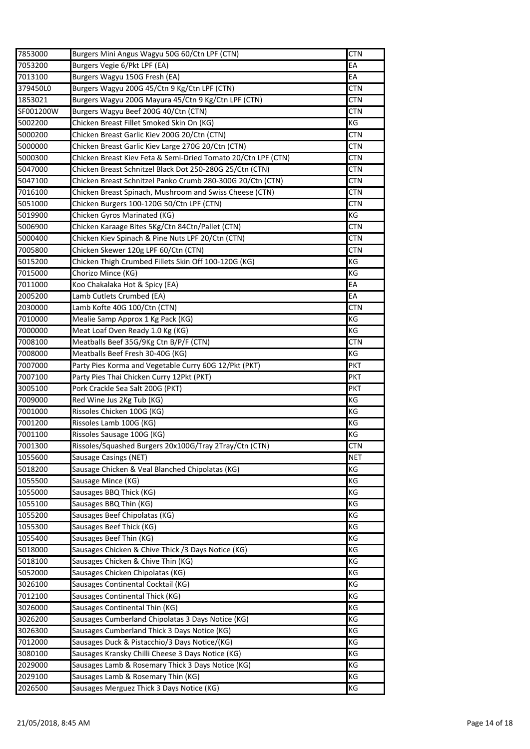| 7053200<br>Burgers Vegie 6/Pkt LPF (EA)<br>EA<br>EA<br>Burgers Wagyu 150G Fresh (EA)<br>Burgers Wagyu 200G 45/Ctn 9 Kg/Ctn LPF (CTN)<br><b>CTN</b><br>Burgers Wagyu 200G Mayura 45/Ctn 9 Kg/Ctn LPF (CTN)<br>CTN<br>SF001200W<br>Burgers Wagyu Beef 200G 40/Ctn (CTN)<br><b>CTN</b><br>5002200<br>Chicken Breast Fillet Smoked Skin On (KG)<br>ΚG<br>5000200<br>Chicken Breast Garlic Kiev 200G 20/Ctn (CTN)<br><b>CTN</b><br>Chicken Breast Garlic Kiev Large 270G 20/Ctn (CTN)<br><b>CTN</b><br>Chicken Breast Kiev Feta & Semi-Dried Tomato 20/Ctn LPF (CTN)<br>5000300<br>CTN<br>Chicken Breast Schnitzel Black Dot 250-280G 25/Ctn (CTN)<br>5047000<br>CTN<br>5047100<br>Chicken Breast Schnitzel Panko Crumb 280-300G 20/Ctn (CTN)<br><b>CTN</b><br>7016100<br>Chicken Breast Spinach, Mushroom and Swiss Cheese (CTN)<br><b>CTN</b><br>5051000<br>Chicken Burgers 100-120G 50/Ctn LPF (CTN)<br>CTN<br>5019900<br>Chicken Gyros Marinated (KG)<br>КG<br>Chicken Karaage Bites 5Kg/Ctn 84Ctn/Pallet (CTN)<br>5006900<br><b>CTN</b><br>Chicken Kiev Spinach & Pine Nuts LPF 20/Ctn (CTN)<br>CTN<br>5000400<br>7005800<br>Chicken Skewer 120g LPF 60/Ctn (CTN)<br><b>CTN</b><br>5015200<br>Chicken Thigh Crumbed Fillets Skin Off 100-120G (KG)<br>КG<br>7015000<br>Chorizo Mince (KG)<br>ΚG<br>Koo Chakalaka Hot & Spicy (EA)<br>EA<br>Lamb Cutlets Crumbed (EA)<br>EA<br>Lamb Kofte 40G 100/Ctn (CTN)<br><b>CTN</b><br>7010000<br>Mealie Samp Approx 1 Kg Pack (KG)<br>ΚG<br>7000000<br>КG<br>Meat Loaf Oven Ready 1.0 Kg (KG)<br>7008100<br>Meatballs Beef 35G/9Kg Ctn B/P/F (CTN)<br>CTN<br>Meatballs Beef Fresh 30-40G (KG)<br>7008000<br>ΚG<br>Party Pies Korma and Vegetable Curry 60G 12/Pkt (PKT)<br>7007000<br>PKT<br>7007100<br>Party Pies Thai Chicken Curry 12Pkt (PKT)<br>PKT<br>3005100<br>Pork Crackle Sea Salt 200G (PKT)<br><b>PKT</b><br>7009000<br>КG<br>Red Wine Jus 2Kg Tub (KG)<br>7001000<br>Rissoles Chicken 100G (KG)<br>ΚG<br>Rissoles Lamb 100G (KG)<br>ΚG<br>ΚG<br>Rissoles Sausage 100G (KG)<br>7001300<br>Rissoles/Squashed Burgers 20x100G/Tray 2Tray/Ctn (CTN)<br><b>CTN</b><br>1055600<br>Sausage Casings (NET)<br><b>NET</b><br>Sausage Chicken & Veal Blanched Chipolatas (KG)<br>КG<br>5018200<br>ΚG<br>1055500<br>Sausage Mince (KG)<br>1055000<br>Sausages BBQ Thick (KG)<br>КG<br>1055100<br>Sausages BBQ Thin (KG)<br>КG<br>Sausages Beef Chipolatas (KG)<br>КG<br>1055200<br>Sausages Beef Thick (KG)<br>ΚG<br>1055300<br>КG<br>Sausages Beef Thin (KG)<br>1055400<br>5018000<br>Sausages Chicken & Chive Thick /3 Days Notice (KG)<br>КG<br>5018100<br>Sausages Chicken & Chive Thin (KG)<br>ΚG<br>5052000<br>Sausages Chicken Chipolatas (KG)<br>КG<br>3026100<br>Sausages Continental Cocktail (KG)<br>ΚG<br>Sausages Continental Thick (KG)<br>КG<br>7012100<br>Sausages Continental Thin (KG)<br>ΚG<br>3026000<br>3026200<br>Sausages Cumberland Chipolatas 3 Days Notice (KG)<br>КG<br>Sausages Cumberland Thick 3 Days Notice (KG)<br>КG<br>3026300<br>7012000<br>Sausages Duck & Pistacchio/3 Days Notice/(KG)<br>ΚG<br>3080100<br>Sausages Kransky Chilli Cheese 3 Days Notice (KG)<br>ΚG<br>Sausages Lamb & Rosemary Thick 3 Days Notice (KG)<br>ΚG<br>2029000<br>Sausages Lamb & Rosemary Thin (KG)<br>ΚG<br>2029100<br>КG<br>2026500<br>Sausages Merguez Thick 3 Days Notice (KG) | 7853000  | Burgers Mini Angus Wagyu 50G 60/Ctn LPF (CTN) | <b>CTN</b> |
|--------------------------------------------------------------------------------------------------------------------------------------------------------------------------------------------------------------------------------------------------------------------------------------------------------------------------------------------------------------------------------------------------------------------------------------------------------------------------------------------------------------------------------------------------------------------------------------------------------------------------------------------------------------------------------------------------------------------------------------------------------------------------------------------------------------------------------------------------------------------------------------------------------------------------------------------------------------------------------------------------------------------------------------------------------------------------------------------------------------------------------------------------------------------------------------------------------------------------------------------------------------------------------------------------------------------------------------------------------------------------------------------------------------------------------------------------------------------------------------------------------------------------------------------------------------------------------------------------------------------------------------------------------------------------------------------------------------------------------------------------------------------------------------------------------------------------------------------------------------------------------------------------------------------------------------------------------------------------------------------------------------------------------------------------------------------------------------------------------------------------------------------------------------------------------------------------------------------------------------------------------------------------------------------------------------------------------------------------------------------------------------------------------------------------------------------------------------------------------------------------------------------------------------------------------------------------------------------------------------------------------------------------------------------------------------------------------------------------------------------------------------------------------------------------------------------------------------------------------------------------------------------------------------------------------------------------------------------------------------------------------------------------------------------------------------------------------------------------------------------------------------------------------------------------------------------------------------------------------------------------------------------------------------------------------------------------------------------|----------|-----------------------------------------------|------------|
|                                                                                                                                                                                                                                                                                                                                                                                                                                                                                                                                                                                                                                                                                                                                                                                                                                                                                                                                                                                                                                                                                                                                                                                                                                                                                                                                                                                                                                                                                                                                                                                                                                                                                                                                                                                                                                                                                                                                                                                                                                                                                                                                                                                                                                                                                                                                                                                                                                                                                                                                                                                                                                                                                                                                                                                                                                                                                                                                                                                                                                                                                                                                                                                                                                                                                                                                            |          |                                               |            |
|                                                                                                                                                                                                                                                                                                                                                                                                                                                                                                                                                                                                                                                                                                                                                                                                                                                                                                                                                                                                                                                                                                                                                                                                                                                                                                                                                                                                                                                                                                                                                                                                                                                                                                                                                                                                                                                                                                                                                                                                                                                                                                                                                                                                                                                                                                                                                                                                                                                                                                                                                                                                                                                                                                                                                                                                                                                                                                                                                                                                                                                                                                                                                                                                                                                                                                                                            | 7013100  |                                               |            |
|                                                                                                                                                                                                                                                                                                                                                                                                                                                                                                                                                                                                                                                                                                                                                                                                                                                                                                                                                                                                                                                                                                                                                                                                                                                                                                                                                                                                                                                                                                                                                                                                                                                                                                                                                                                                                                                                                                                                                                                                                                                                                                                                                                                                                                                                                                                                                                                                                                                                                                                                                                                                                                                                                                                                                                                                                                                                                                                                                                                                                                                                                                                                                                                                                                                                                                                                            | 379450L0 |                                               |            |
|                                                                                                                                                                                                                                                                                                                                                                                                                                                                                                                                                                                                                                                                                                                                                                                                                                                                                                                                                                                                                                                                                                                                                                                                                                                                                                                                                                                                                                                                                                                                                                                                                                                                                                                                                                                                                                                                                                                                                                                                                                                                                                                                                                                                                                                                                                                                                                                                                                                                                                                                                                                                                                                                                                                                                                                                                                                                                                                                                                                                                                                                                                                                                                                                                                                                                                                                            | 1853021  |                                               |            |
|                                                                                                                                                                                                                                                                                                                                                                                                                                                                                                                                                                                                                                                                                                                                                                                                                                                                                                                                                                                                                                                                                                                                                                                                                                                                                                                                                                                                                                                                                                                                                                                                                                                                                                                                                                                                                                                                                                                                                                                                                                                                                                                                                                                                                                                                                                                                                                                                                                                                                                                                                                                                                                                                                                                                                                                                                                                                                                                                                                                                                                                                                                                                                                                                                                                                                                                                            |          |                                               |            |
|                                                                                                                                                                                                                                                                                                                                                                                                                                                                                                                                                                                                                                                                                                                                                                                                                                                                                                                                                                                                                                                                                                                                                                                                                                                                                                                                                                                                                                                                                                                                                                                                                                                                                                                                                                                                                                                                                                                                                                                                                                                                                                                                                                                                                                                                                                                                                                                                                                                                                                                                                                                                                                                                                                                                                                                                                                                                                                                                                                                                                                                                                                                                                                                                                                                                                                                                            |          |                                               |            |
|                                                                                                                                                                                                                                                                                                                                                                                                                                                                                                                                                                                                                                                                                                                                                                                                                                                                                                                                                                                                                                                                                                                                                                                                                                                                                                                                                                                                                                                                                                                                                                                                                                                                                                                                                                                                                                                                                                                                                                                                                                                                                                                                                                                                                                                                                                                                                                                                                                                                                                                                                                                                                                                                                                                                                                                                                                                                                                                                                                                                                                                                                                                                                                                                                                                                                                                                            |          |                                               |            |
|                                                                                                                                                                                                                                                                                                                                                                                                                                                                                                                                                                                                                                                                                                                                                                                                                                                                                                                                                                                                                                                                                                                                                                                                                                                                                                                                                                                                                                                                                                                                                                                                                                                                                                                                                                                                                                                                                                                                                                                                                                                                                                                                                                                                                                                                                                                                                                                                                                                                                                                                                                                                                                                                                                                                                                                                                                                                                                                                                                                                                                                                                                                                                                                                                                                                                                                                            | 5000000  |                                               |            |
|                                                                                                                                                                                                                                                                                                                                                                                                                                                                                                                                                                                                                                                                                                                                                                                                                                                                                                                                                                                                                                                                                                                                                                                                                                                                                                                                                                                                                                                                                                                                                                                                                                                                                                                                                                                                                                                                                                                                                                                                                                                                                                                                                                                                                                                                                                                                                                                                                                                                                                                                                                                                                                                                                                                                                                                                                                                                                                                                                                                                                                                                                                                                                                                                                                                                                                                                            |          |                                               |            |
|                                                                                                                                                                                                                                                                                                                                                                                                                                                                                                                                                                                                                                                                                                                                                                                                                                                                                                                                                                                                                                                                                                                                                                                                                                                                                                                                                                                                                                                                                                                                                                                                                                                                                                                                                                                                                                                                                                                                                                                                                                                                                                                                                                                                                                                                                                                                                                                                                                                                                                                                                                                                                                                                                                                                                                                                                                                                                                                                                                                                                                                                                                                                                                                                                                                                                                                                            |          |                                               |            |
|                                                                                                                                                                                                                                                                                                                                                                                                                                                                                                                                                                                                                                                                                                                                                                                                                                                                                                                                                                                                                                                                                                                                                                                                                                                                                                                                                                                                                                                                                                                                                                                                                                                                                                                                                                                                                                                                                                                                                                                                                                                                                                                                                                                                                                                                                                                                                                                                                                                                                                                                                                                                                                                                                                                                                                                                                                                                                                                                                                                                                                                                                                                                                                                                                                                                                                                                            |          |                                               |            |
|                                                                                                                                                                                                                                                                                                                                                                                                                                                                                                                                                                                                                                                                                                                                                                                                                                                                                                                                                                                                                                                                                                                                                                                                                                                                                                                                                                                                                                                                                                                                                                                                                                                                                                                                                                                                                                                                                                                                                                                                                                                                                                                                                                                                                                                                                                                                                                                                                                                                                                                                                                                                                                                                                                                                                                                                                                                                                                                                                                                                                                                                                                                                                                                                                                                                                                                                            |          |                                               |            |
|                                                                                                                                                                                                                                                                                                                                                                                                                                                                                                                                                                                                                                                                                                                                                                                                                                                                                                                                                                                                                                                                                                                                                                                                                                                                                                                                                                                                                                                                                                                                                                                                                                                                                                                                                                                                                                                                                                                                                                                                                                                                                                                                                                                                                                                                                                                                                                                                                                                                                                                                                                                                                                                                                                                                                                                                                                                                                                                                                                                                                                                                                                                                                                                                                                                                                                                                            |          |                                               |            |
|                                                                                                                                                                                                                                                                                                                                                                                                                                                                                                                                                                                                                                                                                                                                                                                                                                                                                                                                                                                                                                                                                                                                                                                                                                                                                                                                                                                                                                                                                                                                                                                                                                                                                                                                                                                                                                                                                                                                                                                                                                                                                                                                                                                                                                                                                                                                                                                                                                                                                                                                                                                                                                                                                                                                                                                                                                                                                                                                                                                                                                                                                                                                                                                                                                                                                                                                            |          |                                               |            |
|                                                                                                                                                                                                                                                                                                                                                                                                                                                                                                                                                                                                                                                                                                                                                                                                                                                                                                                                                                                                                                                                                                                                                                                                                                                                                                                                                                                                                                                                                                                                                                                                                                                                                                                                                                                                                                                                                                                                                                                                                                                                                                                                                                                                                                                                                                                                                                                                                                                                                                                                                                                                                                                                                                                                                                                                                                                                                                                                                                                                                                                                                                                                                                                                                                                                                                                                            |          |                                               |            |
|                                                                                                                                                                                                                                                                                                                                                                                                                                                                                                                                                                                                                                                                                                                                                                                                                                                                                                                                                                                                                                                                                                                                                                                                                                                                                                                                                                                                                                                                                                                                                                                                                                                                                                                                                                                                                                                                                                                                                                                                                                                                                                                                                                                                                                                                                                                                                                                                                                                                                                                                                                                                                                                                                                                                                                                                                                                                                                                                                                                                                                                                                                                                                                                                                                                                                                                                            |          |                                               |            |
|                                                                                                                                                                                                                                                                                                                                                                                                                                                                                                                                                                                                                                                                                                                                                                                                                                                                                                                                                                                                                                                                                                                                                                                                                                                                                                                                                                                                                                                                                                                                                                                                                                                                                                                                                                                                                                                                                                                                                                                                                                                                                                                                                                                                                                                                                                                                                                                                                                                                                                                                                                                                                                                                                                                                                                                                                                                                                                                                                                                                                                                                                                                                                                                                                                                                                                                                            |          |                                               |            |
|                                                                                                                                                                                                                                                                                                                                                                                                                                                                                                                                                                                                                                                                                                                                                                                                                                                                                                                                                                                                                                                                                                                                                                                                                                                                                                                                                                                                                                                                                                                                                                                                                                                                                                                                                                                                                                                                                                                                                                                                                                                                                                                                                                                                                                                                                                                                                                                                                                                                                                                                                                                                                                                                                                                                                                                                                                                                                                                                                                                                                                                                                                                                                                                                                                                                                                                                            |          |                                               |            |
|                                                                                                                                                                                                                                                                                                                                                                                                                                                                                                                                                                                                                                                                                                                                                                                                                                                                                                                                                                                                                                                                                                                                                                                                                                                                                                                                                                                                                                                                                                                                                                                                                                                                                                                                                                                                                                                                                                                                                                                                                                                                                                                                                                                                                                                                                                                                                                                                                                                                                                                                                                                                                                                                                                                                                                                                                                                                                                                                                                                                                                                                                                                                                                                                                                                                                                                                            |          |                                               |            |
|                                                                                                                                                                                                                                                                                                                                                                                                                                                                                                                                                                                                                                                                                                                                                                                                                                                                                                                                                                                                                                                                                                                                                                                                                                                                                                                                                                                                                                                                                                                                                                                                                                                                                                                                                                                                                                                                                                                                                                                                                                                                                                                                                                                                                                                                                                                                                                                                                                                                                                                                                                                                                                                                                                                                                                                                                                                                                                                                                                                                                                                                                                                                                                                                                                                                                                                                            | 7011000  |                                               |            |
|                                                                                                                                                                                                                                                                                                                                                                                                                                                                                                                                                                                                                                                                                                                                                                                                                                                                                                                                                                                                                                                                                                                                                                                                                                                                                                                                                                                                                                                                                                                                                                                                                                                                                                                                                                                                                                                                                                                                                                                                                                                                                                                                                                                                                                                                                                                                                                                                                                                                                                                                                                                                                                                                                                                                                                                                                                                                                                                                                                                                                                                                                                                                                                                                                                                                                                                                            | 2005200  |                                               |            |
|                                                                                                                                                                                                                                                                                                                                                                                                                                                                                                                                                                                                                                                                                                                                                                                                                                                                                                                                                                                                                                                                                                                                                                                                                                                                                                                                                                                                                                                                                                                                                                                                                                                                                                                                                                                                                                                                                                                                                                                                                                                                                                                                                                                                                                                                                                                                                                                                                                                                                                                                                                                                                                                                                                                                                                                                                                                                                                                                                                                                                                                                                                                                                                                                                                                                                                                                            | 2030000  |                                               |            |
|                                                                                                                                                                                                                                                                                                                                                                                                                                                                                                                                                                                                                                                                                                                                                                                                                                                                                                                                                                                                                                                                                                                                                                                                                                                                                                                                                                                                                                                                                                                                                                                                                                                                                                                                                                                                                                                                                                                                                                                                                                                                                                                                                                                                                                                                                                                                                                                                                                                                                                                                                                                                                                                                                                                                                                                                                                                                                                                                                                                                                                                                                                                                                                                                                                                                                                                                            |          |                                               |            |
|                                                                                                                                                                                                                                                                                                                                                                                                                                                                                                                                                                                                                                                                                                                                                                                                                                                                                                                                                                                                                                                                                                                                                                                                                                                                                                                                                                                                                                                                                                                                                                                                                                                                                                                                                                                                                                                                                                                                                                                                                                                                                                                                                                                                                                                                                                                                                                                                                                                                                                                                                                                                                                                                                                                                                                                                                                                                                                                                                                                                                                                                                                                                                                                                                                                                                                                                            |          |                                               |            |
|                                                                                                                                                                                                                                                                                                                                                                                                                                                                                                                                                                                                                                                                                                                                                                                                                                                                                                                                                                                                                                                                                                                                                                                                                                                                                                                                                                                                                                                                                                                                                                                                                                                                                                                                                                                                                                                                                                                                                                                                                                                                                                                                                                                                                                                                                                                                                                                                                                                                                                                                                                                                                                                                                                                                                                                                                                                                                                                                                                                                                                                                                                                                                                                                                                                                                                                                            |          |                                               |            |
|                                                                                                                                                                                                                                                                                                                                                                                                                                                                                                                                                                                                                                                                                                                                                                                                                                                                                                                                                                                                                                                                                                                                                                                                                                                                                                                                                                                                                                                                                                                                                                                                                                                                                                                                                                                                                                                                                                                                                                                                                                                                                                                                                                                                                                                                                                                                                                                                                                                                                                                                                                                                                                                                                                                                                                                                                                                                                                                                                                                                                                                                                                                                                                                                                                                                                                                                            |          |                                               |            |
|                                                                                                                                                                                                                                                                                                                                                                                                                                                                                                                                                                                                                                                                                                                                                                                                                                                                                                                                                                                                                                                                                                                                                                                                                                                                                                                                                                                                                                                                                                                                                                                                                                                                                                                                                                                                                                                                                                                                                                                                                                                                                                                                                                                                                                                                                                                                                                                                                                                                                                                                                                                                                                                                                                                                                                                                                                                                                                                                                                                                                                                                                                                                                                                                                                                                                                                                            |          |                                               |            |
|                                                                                                                                                                                                                                                                                                                                                                                                                                                                                                                                                                                                                                                                                                                                                                                                                                                                                                                                                                                                                                                                                                                                                                                                                                                                                                                                                                                                                                                                                                                                                                                                                                                                                                                                                                                                                                                                                                                                                                                                                                                                                                                                                                                                                                                                                                                                                                                                                                                                                                                                                                                                                                                                                                                                                                                                                                                                                                                                                                                                                                                                                                                                                                                                                                                                                                                                            |          |                                               |            |
|                                                                                                                                                                                                                                                                                                                                                                                                                                                                                                                                                                                                                                                                                                                                                                                                                                                                                                                                                                                                                                                                                                                                                                                                                                                                                                                                                                                                                                                                                                                                                                                                                                                                                                                                                                                                                                                                                                                                                                                                                                                                                                                                                                                                                                                                                                                                                                                                                                                                                                                                                                                                                                                                                                                                                                                                                                                                                                                                                                                                                                                                                                                                                                                                                                                                                                                                            |          |                                               |            |
|                                                                                                                                                                                                                                                                                                                                                                                                                                                                                                                                                                                                                                                                                                                                                                                                                                                                                                                                                                                                                                                                                                                                                                                                                                                                                                                                                                                                                                                                                                                                                                                                                                                                                                                                                                                                                                                                                                                                                                                                                                                                                                                                                                                                                                                                                                                                                                                                                                                                                                                                                                                                                                                                                                                                                                                                                                                                                                                                                                                                                                                                                                                                                                                                                                                                                                                                            |          |                                               |            |
|                                                                                                                                                                                                                                                                                                                                                                                                                                                                                                                                                                                                                                                                                                                                                                                                                                                                                                                                                                                                                                                                                                                                                                                                                                                                                                                                                                                                                                                                                                                                                                                                                                                                                                                                                                                                                                                                                                                                                                                                                                                                                                                                                                                                                                                                                                                                                                                                                                                                                                                                                                                                                                                                                                                                                                                                                                                                                                                                                                                                                                                                                                                                                                                                                                                                                                                                            |          |                                               |            |
|                                                                                                                                                                                                                                                                                                                                                                                                                                                                                                                                                                                                                                                                                                                                                                                                                                                                                                                                                                                                                                                                                                                                                                                                                                                                                                                                                                                                                                                                                                                                                                                                                                                                                                                                                                                                                                                                                                                                                                                                                                                                                                                                                                                                                                                                                                                                                                                                                                                                                                                                                                                                                                                                                                                                                                                                                                                                                                                                                                                                                                                                                                                                                                                                                                                                                                                                            | 7001200  |                                               |            |
|                                                                                                                                                                                                                                                                                                                                                                                                                                                                                                                                                                                                                                                                                                                                                                                                                                                                                                                                                                                                                                                                                                                                                                                                                                                                                                                                                                                                                                                                                                                                                                                                                                                                                                                                                                                                                                                                                                                                                                                                                                                                                                                                                                                                                                                                                                                                                                                                                                                                                                                                                                                                                                                                                                                                                                                                                                                                                                                                                                                                                                                                                                                                                                                                                                                                                                                                            | 7001100  |                                               |            |
|                                                                                                                                                                                                                                                                                                                                                                                                                                                                                                                                                                                                                                                                                                                                                                                                                                                                                                                                                                                                                                                                                                                                                                                                                                                                                                                                                                                                                                                                                                                                                                                                                                                                                                                                                                                                                                                                                                                                                                                                                                                                                                                                                                                                                                                                                                                                                                                                                                                                                                                                                                                                                                                                                                                                                                                                                                                                                                                                                                                                                                                                                                                                                                                                                                                                                                                                            |          |                                               |            |
|                                                                                                                                                                                                                                                                                                                                                                                                                                                                                                                                                                                                                                                                                                                                                                                                                                                                                                                                                                                                                                                                                                                                                                                                                                                                                                                                                                                                                                                                                                                                                                                                                                                                                                                                                                                                                                                                                                                                                                                                                                                                                                                                                                                                                                                                                                                                                                                                                                                                                                                                                                                                                                                                                                                                                                                                                                                                                                                                                                                                                                                                                                                                                                                                                                                                                                                                            |          |                                               |            |
|                                                                                                                                                                                                                                                                                                                                                                                                                                                                                                                                                                                                                                                                                                                                                                                                                                                                                                                                                                                                                                                                                                                                                                                                                                                                                                                                                                                                                                                                                                                                                                                                                                                                                                                                                                                                                                                                                                                                                                                                                                                                                                                                                                                                                                                                                                                                                                                                                                                                                                                                                                                                                                                                                                                                                                                                                                                                                                                                                                                                                                                                                                                                                                                                                                                                                                                                            |          |                                               |            |
|                                                                                                                                                                                                                                                                                                                                                                                                                                                                                                                                                                                                                                                                                                                                                                                                                                                                                                                                                                                                                                                                                                                                                                                                                                                                                                                                                                                                                                                                                                                                                                                                                                                                                                                                                                                                                                                                                                                                                                                                                                                                                                                                                                                                                                                                                                                                                                                                                                                                                                                                                                                                                                                                                                                                                                                                                                                                                                                                                                                                                                                                                                                                                                                                                                                                                                                                            |          |                                               |            |
|                                                                                                                                                                                                                                                                                                                                                                                                                                                                                                                                                                                                                                                                                                                                                                                                                                                                                                                                                                                                                                                                                                                                                                                                                                                                                                                                                                                                                                                                                                                                                                                                                                                                                                                                                                                                                                                                                                                                                                                                                                                                                                                                                                                                                                                                                                                                                                                                                                                                                                                                                                                                                                                                                                                                                                                                                                                                                                                                                                                                                                                                                                                                                                                                                                                                                                                                            |          |                                               |            |
|                                                                                                                                                                                                                                                                                                                                                                                                                                                                                                                                                                                                                                                                                                                                                                                                                                                                                                                                                                                                                                                                                                                                                                                                                                                                                                                                                                                                                                                                                                                                                                                                                                                                                                                                                                                                                                                                                                                                                                                                                                                                                                                                                                                                                                                                                                                                                                                                                                                                                                                                                                                                                                                                                                                                                                                                                                                                                                                                                                                                                                                                                                                                                                                                                                                                                                                                            |          |                                               |            |
|                                                                                                                                                                                                                                                                                                                                                                                                                                                                                                                                                                                                                                                                                                                                                                                                                                                                                                                                                                                                                                                                                                                                                                                                                                                                                                                                                                                                                                                                                                                                                                                                                                                                                                                                                                                                                                                                                                                                                                                                                                                                                                                                                                                                                                                                                                                                                                                                                                                                                                                                                                                                                                                                                                                                                                                                                                                                                                                                                                                                                                                                                                                                                                                                                                                                                                                                            |          |                                               |            |
|                                                                                                                                                                                                                                                                                                                                                                                                                                                                                                                                                                                                                                                                                                                                                                                                                                                                                                                                                                                                                                                                                                                                                                                                                                                                                                                                                                                                                                                                                                                                                                                                                                                                                                                                                                                                                                                                                                                                                                                                                                                                                                                                                                                                                                                                                                                                                                                                                                                                                                                                                                                                                                                                                                                                                                                                                                                                                                                                                                                                                                                                                                                                                                                                                                                                                                                                            |          |                                               |            |
|                                                                                                                                                                                                                                                                                                                                                                                                                                                                                                                                                                                                                                                                                                                                                                                                                                                                                                                                                                                                                                                                                                                                                                                                                                                                                                                                                                                                                                                                                                                                                                                                                                                                                                                                                                                                                                                                                                                                                                                                                                                                                                                                                                                                                                                                                                                                                                                                                                                                                                                                                                                                                                                                                                                                                                                                                                                                                                                                                                                                                                                                                                                                                                                                                                                                                                                                            |          |                                               |            |
|                                                                                                                                                                                                                                                                                                                                                                                                                                                                                                                                                                                                                                                                                                                                                                                                                                                                                                                                                                                                                                                                                                                                                                                                                                                                                                                                                                                                                                                                                                                                                                                                                                                                                                                                                                                                                                                                                                                                                                                                                                                                                                                                                                                                                                                                                                                                                                                                                                                                                                                                                                                                                                                                                                                                                                                                                                                                                                                                                                                                                                                                                                                                                                                                                                                                                                                                            |          |                                               |            |
|                                                                                                                                                                                                                                                                                                                                                                                                                                                                                                                                                                                                                                                                                                                                                                                                                                                                                                                                                                                                                                                                                                                                                                                                                                                                                                                                                                                                                                                                                                                                                                                                                                                                                                                                                                                                                                                                                                                                                                                                                                                                                                                                                                                                                                                                                                                                                                                                                                                                                                                                                                                                                                                                                                                                                                                                                                                                                                                                                                                                                                                                                                                                                                                                                                                                                                                                            |          |                                               |            |
|                                                                                                                                                                                                                                                                                                                                                                                                                                                                                                                                                                                                                                                                                                                                                                                                                                                                                                                                                                                                                                                                                                                                                                                                                                                                                                                                                                                                                                                                                                                                                                                                                                                                                                                                                                                                                                                                                                                                                                                                                                                                                                                                                                                                                                                                                                                                                                                                                                                                                                                                                                                                                                                                                                                                                                                                                                                                                                                                                                                                                                                                                                                                                                                                                                                                                                                                            |          |                                               |            |
|                                                                                                                                                                                                                                                                                                                                                                                                                                                                                                                                                                                                                                                                                                                                                                                                                                                                                                                                                                                                                                                                                                                                                                                                                                                                                                                                                                                                                                                                                                                                                                                                                                                                                                                                                                                                                                                                                                                                                                                                                                                                                                                                                                                                                                                                                                                                                                                                                                                                                                                                                                                                                                                                                                                                                                                                                                                                                                                                                                                                                                                                                                                                                                                                                                                                                                                                            |          |                                               |            |
|                                                                                                                                                                                                                                                                                                                                                                                                                                                                                                                                                                                                                                                                                                                                                                                                                                                                                                                                                                                                                                                                                                                                                                                                                                                                                                                                                                                                                                                                                                                                                                                                                                                                                                                                                                                                                                                                                                                                                                                                                                                                                                                                                                                                                                                                                                                                                                                                                                                                                                                                                                                                                                                                                                                                                                                                                                                                                                                                                                                                                                                                                                                                                                                                                                                                                                                                            |          |                                               |            |
|                                                                                                                                                                                                                                                                                                                                                                                                                                                                                                                                                                                                                                                                                                                                                                                                                                                                                                                                                                                                                                                                                                                                                                                                                                                                                                                                                                                                                                                                                                                                                                                                                                                                                                                                                                                                                                                                                                                                                                                                                                                                                                                                                                                                                                                                                                                                                                                                                                                                                                                                                                                                                                                                                                                                                                                                                                                                                                                                                                                                                                                                                                                                                                                                                                                                                                                                            |          |                                               |            |
|                                                                                                                                                                                                                                                                                                                                                                                                                                                                                                                                                                                                                                                                                                                                                                                                                                                                                                                                                                                                                                                                                                                                                                                                                                                                                                                                                                                                                                                                                                                                                                                                                                                                                                                                                                                                                                                                                                                                                                                                                                                                                                                                                                                                                                                                                                                                                                                                                                                                                                                                                                                                                                                                                                                                                                                                                                                                                                                                                                                                                                                                                                                                                                                                                                                                                                                                            |          |                                               |            |
|                                                                                                                                                                                                                                                                                                                                                                                                                                                                                                                                                                                                                                                                                                                                                                                                                                                                                                                                                                                                                                                                                                                                                                                                                                                                                                                                                                                                                                                                                                                                                                                                                                                                                                                                                                                                                                                                                                                                                                                                                                                                                                                                                                                                                                                                                                                                                                                                                                                                                                                                                                                                                                                                                                                                                                                                                                                                                                                                                                                                                                                                                                                                                                                                                                                                                                                                            |          |                                               |            |
|                                                                                                                                                                                                                                                                                                                                                                                                                                                                                                                                                                                                                                                                                                                                                                                                                                                                                                                                                                                                                                                                                                                                                                                                                                                                                                                                                                                                                                                                                                                                                                                                                                                                                                                                                                                                                                                                                                                                                                                                                                                                                                                                                                                                                                                                                                                                                                                                                                                                                                                                                                                                                                                                                                                                                                                                                                                                                                                                                                                                                                                                                                                                                                                                                                                                                                                                            |          |                                               |            |
|                                                                                                                                                                                                                                                                                                                                                                                                                                                                                                                                                                                                                                                                                                                                                                                                                                                                                                                                                                                                                                                                                                                                                                                                                                                                                                                                                                                                                                                                                                                                                                                                                                                                                                                                                                                                                                                                                                                                                                                                                                                                                                                                                                                                                                                                                                                                                                                                                                                                                                                                                                                                                                                                                                                                                                                                                                                                                                                                                                                                                                                                                                                                                                                                                                                                                                                                            |          |                                               |            |
|                                                                                                                                                                                                                                                                                                                                                                                                                                                                                                                                                                                                                                                                                                                                                                                                                                                                                                                                                                                                                                                                                                                                                                                                                                                                                                                                                                                                                                                                                                                                                                                                                                                                                                                                                                                                                                                                                                                                                                                                                                                                                                                                                                                                                                                                                                                                                                                                                                                                                                                                                                                                                                                                                                                                                                                                                                                                                                                                                                                                                                                                                                                                                                                                                                                                                                                                            |          |                                               |            |
|                                                                                                                                                                                                                                                                                                                                                                                                                                                                                                                                                                                                                                                                                                                                                                                                                                                                                                                                                                                                                                                                                                                                                                                                                                                                                                                                                                                                                                                                                                                                                                                                                                                                                                                                                                                                                                                                                                                                                                                                                                                                                                                                                                                                                                                                                                                                                                                                                                                                                                                                                                                                                                                                                                                                                                                                                                                                                                                                                                                                                                                                                                                                                                                                                                                                                                                                            |          |                                               |            |
|                                                                                                                                                                                                                                                                                                                                                                                                                                                                                                                                                                                                                                                                                                                                                                                                                                                                                                                                                                                                                                                                                                                                                                                                                                                                                                                                                                                                                                                                                                                                                                                                                                                                                                                                                                                                                                                                                                                                                                                                                                                                                                                                                                                                                                                                                                                                                                                                                                                                                                                                                                                                                                                                                                                                                                                                                                                                                                                                                                                                                                                                                                                                                                                                                                                                                                                                            |          |                                               |            |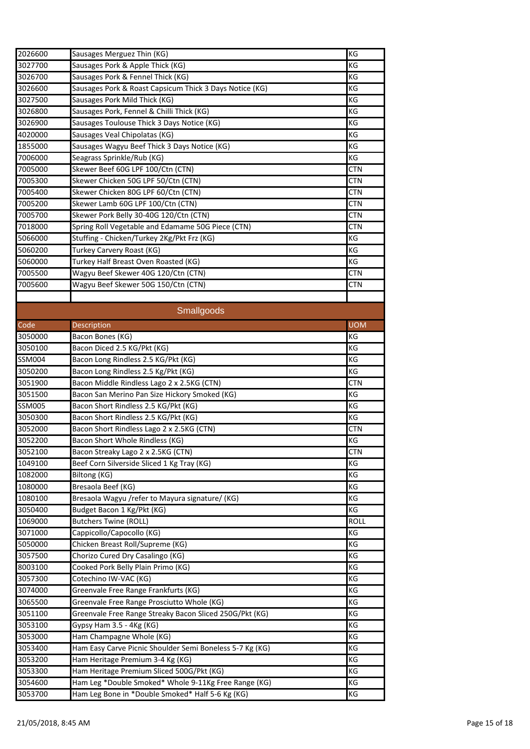|               |                                                                | KG          |
|---------------|----------------------------------------------------------------|-------------|
| 2026600       | Sausages Merguez Thin (KG)<br>Sausages Pork & Apple Thick (KG) | KG          |
| 3027700       |                                                                |             |
| 3026700       | Sausages Pork & Fennel Thick (KG)                              | KG          |
| 3026600       | Sausages Pork & Roast Capsicum Thick 3 Days Notice (KG)        | KG          |
| 3027500       | Sausages Pork Mild Thick (KG)                                  | KG          |
| 3026800       | Sausages Pork, Fennel & Chilli Thick (KG)                      | KG          |
| 3026900       | Sausages Toulouse Thick 3 Days Notice (KG)                     | KG          |
| 4020000       | Sausages Veal Chipolatas (KG)                                  | KG          |
| 1855000       | Sausages Wagyu Beef Thick 3 Days Notice (KG)                   | KG          |
| 7006000       | Seagrass Sprinkle/Rub (KG)                                     | KG          |
| 7005000       | Skewer Beef 60G LPF 100/Ctn (CTN)                              | <b>CTN</b>  |
| 7005300       | Skewer Chicken 50G LPF 50/Ctn (CTN)                            | CTN         |
| 7005400       | Skewer Chicken 80G LPF 60/Ctn (CTN)                            | <b>CTN</b>  |
| 7005200       | Skewer Lamb 60G LPF 100/Ctn (CTN)                              | <b>CTN</b>  |
| 7005700       | Skewer Pork Belly 30-40G 120/Ctn (CTN)                         | CTN         |
| 7018000       | Spring Roll Vegetable and Edamame 50G Piece (CTN)              | <b>CTN</b>  |
| 5066000       | Stuffing - Chicken/Turkey 2Kg/Pkt Frz (KG)                     | KG          |
| 5060200       | Turkey Carvery Roast (KG)                                      | KG          |
| 5060000       | Turkey Half Breast Oven Roasted (KG)                           | KG          |
| 7005500       | Wagyu Beef Skewer 40G 120/Ctn (CTN)                            | <b>CTN</b>  |
| 7005600       | Wagyu Beef Skewer 50G 150/Ctn (CTN)                            | <b>CTN</b>  |
|               |                                                                |             |
|               |                                                                |             |
|               | Smallgoods                                                     |             |
| Code          | Description                                                    | <b>UOM</b>  |
| 3050000       | Bacon Bones (KG)                                               | KG          |
| 3050100       | Bacon Diced 2.5 KG/Pkt (KG)                                    | KG          |
| SSM004        | Bacon Long Rindless 2.5 KG/Pkt (KG)                            | KG          |
| 3050200       | Bacon Long Rindless 2.5 Kg/Pkt (KG)                            | KG          |
| 3051900       | Bacon Middle Rindless Lago 2 x 2.5KG (CTN)                     | <b>CTN</b>  |
| 3051500       | Bacon San Merino Pan Size Hickory Smoked (KG)                  | ΚG          |
| <b>SSM005</b> | Bacon Short Rindless 2.5 KG/Pkt (KG)                           | KG          |
| 3050300       | Bacon Short Rindless 2.5 KG/Pkt (KG)                           | KG          |
| 3052000       | Bacon Short Rindless Lago 2 x 2.5KG (CTN)                      | CTN         |
| 3052200       | Bacon Short Whole Rindless (KG)                                | KG          |
| 3052100       | Bacon Streaky Lago 2 x 2.5KG (CTN)                             | <b>CTN</b>  |
| 1049100       | Beef Corn Silverside Sliced 1 Kg Tray (KG)                     | KG          |
| 1082000       | Biltong (KG)                                                   | KG          |
| 1080000       | Bresaola Beef (KG)                                             | KG          |
| 1080100       | Bresaola Wagyu / refer to Mayura signature/ (KG)               | KG          |
| 3050400       | Budget Bacon 1 Kg/Pkt (KG)                                     | KG          |
| 1069000       | <b>Butchers Twine (ROLL)</b>                                   | <b>ROLL</b> |
| 3071000       | Cappicollo/Capocollo (KG)                                      | KG          |
| 5050000       | Chicken Breast Roll/Supreme (KG)                               | KG          |
| 3057500       | Chorizo Cured Dry Casalingo (KG)                               | KG          |
| 8003100       | Cooked Pork Belly Plain Primo (KG)                             | KG          |
|               |                                                                |             |
| 3057300       | Cotechino IW-VAC (KG)                                          | KG          |
| 3074000       | Greenvale Free Range Frankfurts (KG)                           | KG          |
| 3065500       | Greenvale Free Range Prosciutto Whole (KG)                     | KG          |
| 3051100       | Greenvale Free Range Streaky Bacon Sliced 250G/Pkt (KG)        | KG          |
| 3053100       | Gypsy Ham 3.5 - 4Kg (KG)                                       | KG          |
| 3053000       | Ham Champagne Whole (KG)                                       | KG          |
| 3053400       | Ham Easy Carve Picnic Shoulder Semi Boneless 5-7 Kg (KG)       | KG          |
| 3053200       | Ham Heritage Premium 3-4 Kg (KG)                               | KG          |
| 3053300       | Ham Heritage Premium Sliced 500G/Pkt (KG)                      | KG          |
| 3054600       | Ham Leg *Double Smoked* Whole 9-11Kg Free Range (KG)           | KG          |
| 3053700       | Ham Leg Bone in *Double Smoked* Half 5-6 Kg (KG)               | KG          |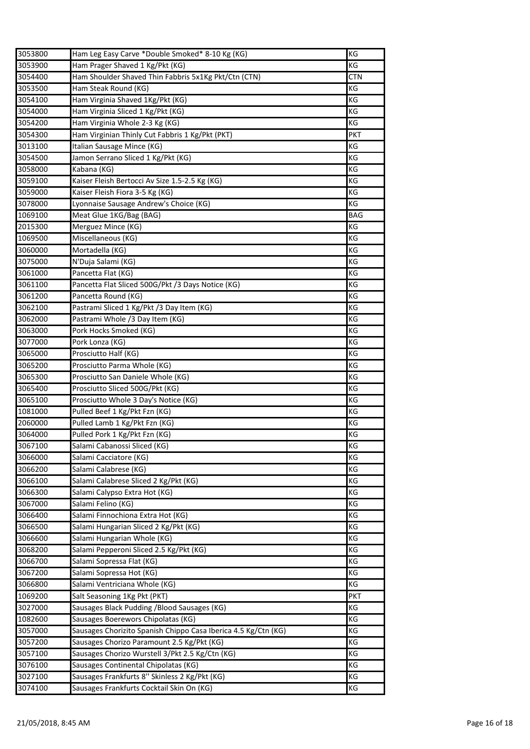| 3053800 | Ham Leg Easy Carve *Double Smoked* 8-10 Kg (KG)                | KG         |
|---------|----------------------------------------------------------------|------------|
| 3053900 | Ham Prager Shaved 1 Kg/Pkt (KG)                                | ΚG         |
| 3054400 | Ham Shoulder Shaved Thin Fabbris 5x1Kg Pkt/Ctn (CTN)           | <b>CTN</b> |
| 3053500 | Ham Steak Round (KG)                                           | KG         |
| 3054100 | Ham Virginia Shaved 1Kg/Pkt (KG)                               | KG         |
| 3054000 | Ham Virginia Sliced 1 Kg/Pkt (KG)                              | KG         |
| 3054200 | Ham Virginia Whole 2-3 Kg (KG)                                 | КG         |
| 3054300 | Ham Virginian Thinly Cut Fabbris 1 Kg/Pkt (PKT)                | <b>PKT</b> |
| 3013100 | Italian Sausage Mince (KG)                                     | KG         |
| 3054500 | Jamon Serrano Sliced 1 Kg/Pkt (KG)                             | ΚG         |
| 3058000 | Kabana (KG)                                                    | KG         |
| 3059100 | Kaiser Fleish Bertocci Av Size 1.5-2.5 Kg (KG)                 | KG         |
| 3059000 | Kaiser Fleish Fiora 3-5 Kg (KG)                                | ΚG         |
| 3078000 | Lyonnaise Sausage Andrew's Choice (KG)                         | ΚG         |
| 1069100 | Meat Glue 1KG/Bag (BAG)                                        | <b>BAG</b> |
| 2015300 | Merguez Mince (KG)                                             | KG         |
| 1069500 | Miscellaneous (KG)                                             | KG         |
| 3060000 | Mortadella (KG)                                                | KG         |
| 3075000 | N'Duja Salami (KG)                                             | KG         |
| 3061000 | Pancetta Flat (KG)                                             | ΚG         |
| 3061100 | Pancetta Flat Sliced 500G/Pkt /3 Days Notice (KG)              | KG         |
| 3061200 | Pancetta Round (KG)                                            | ΚG         |
| 3062100 | Pastrami Sliced 1 Kg/Pkt /3 Day Item (KG)                      | KG         |
| 3062000 | Pastrami Whole /3 Day Item (KG)                                | ΚG         |
| 3063000 | Pork Hocks Smoked (KG)                                         | KG         |
| 3077000 | Pork Lonza (KG)                                                | KG         |
| 3065000 | Prosciutto Half (KG)                                           | KG         |
| 3065200 | Prosciutto Parma Whole (KG)                                    | KG         |
| 3065300 | Prosciutto San Daniele Whole (KG)                              | KG         |
| 3065400 | Prosciutto Sliced 500G/Pkt (KG)                                | KG         |
| 3065100 | Prosciutto Whole 3 Day's Notice (KG)                           | ΚG         |
| 1081000 | Pulled Beef 1 Kg/Pkt Fzn (KG)                                  | KG         |
| 2060000 | Pulled Lamb 1 Kg/Pkt Fzn (KG)                                  | KG         |
| 3064000 | Pulled Pork 1 Kg/Pkt Fzn (KG)                                  | ΚG         |
| 3067100 | Salami Cabanossi Sliced (KG)                                   | KG         |
| 3066000 | Salami Cacciatore (KG)                                         | KG         |
| 3066200 | Salami Calabrese (KG)                                          | KG         |
| 3066100 | Salami Calabrese Sliced 2 Kg/Pkt (KG)                          | КG         |
| 3066300 | Salami Calypso Extra Hot (KG)                                  | KG         |
| 3067000 | Salami Felino (KG)                                             | KG         |
| 3066400 | Salami Finnochiona Extra Hot (KG)                              | KG         |
| 3066500 | Salami Hungarian Sliced 2 Kg/Pkt (KG)                          | KG         |
| 3066600 | Salami Hungarian Whole (KG)                                    | KG         |
| 3068200 | Salami Pepperoni Sliced 2.5 Kg/Pkt (KG)                        | KG         |
| 3066700 | Salami Sopressa Flat (KG)                                      | KG         |
| 3067200 | Salami Sopressa Hot (KG)                                       | KG         |
| 3066800 | Salami Ventriciana Whole (KG)                                  | KG         |
| 1069200 | Salt Seasoning 1Kg Pkt (PKT)                                   | <b>PKT</b> |
| 3027000 | Sausages Black Pudding / Blood Sausages (KG)                   | KG         |
| 1082600 | Sausages Boerewors Chipolatas (KG)                             | KG         |
| 3057000 | Sausages Chorizito Spanish Chippo Casa Iberica 4.5 Kg/Ctn (KG) | КG         |
| 3057200 | Sausages Chorizo Paramount 2.5 Kg/Pkt (KG)                     | ΚG         |
| 3057100 | Sausages Chorizo Wurstell 3/Pkt 2.5 Kg/Ctn (KG)                | ΚG         |
| 3076100 | Sausages Continental Chipolatas (KG)                           | KG         |
| 3027100 | Sausages Frankfurts 8" Skinless 2 Kg/Pkt (KG)                  | KG         |
| 3074100 | Sausages Frankfurts Cocktail Skin On (KG)                      | KG         |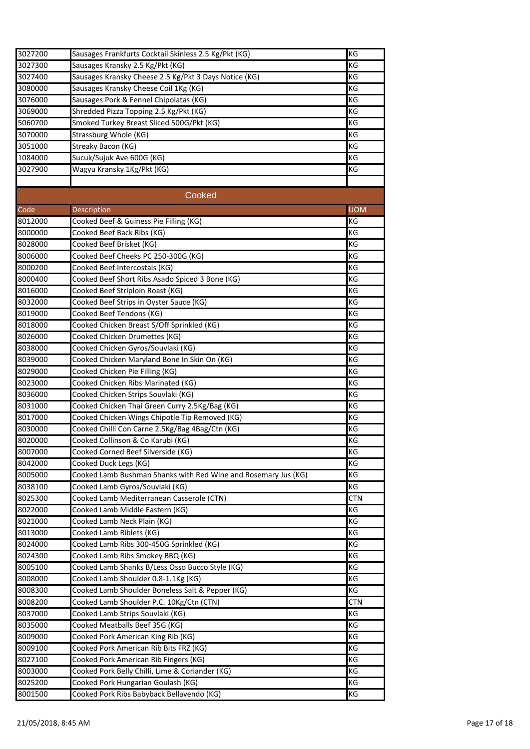| 3027200            | Sausages Frankfurts Cocktail Skinless 2.5 Kg/Pkt (KG)                               | KG         |
|--------------------|-------------------------------------------------------------------------------------|------------|
| 3027300            | Sausages Kransky 2.5 Kg/Pkt (KG)                                                    | ΚG         |
| 3027400            | Sausages Kransky Cheese 2.5 Kg/Pkt 3 Days Notice (KG)                               | KG         |
| 3080000            | Sausages Kransky Cheese Coil 1Kg (KG)                                               | ΚG         |
| 3076000            | Sausages Pork & Fennel Chipolatas (KG)                                              | KG         |
| 3069000            | Shredded Pizza Topping 2.5 Kg/Pkt (KG)                                              | КG         |
| 5060700            | Smoked Turkey Breast Sliced 500G/Pkt (KG)                                           | ΚG         |
| 3070000            | Strassburg Whole (KG)                                                               | ΚG         |
| 3051000            | Streaky Bacon (KG)                                                                  | ΚG         |
| 1084000            | Sucuk/Sujuk Ave 600G (KG)                                                           | KG         |
| 3027900            | Wagyu Kransky 1Kg/Pkt (KG)                                                          | KG         |
|                    |                                                                                     |            |
|                    | Cooked                                                                              |            |
|                    |                                                                                     | <b>UOM</b> |
| Code               | Description                                                                         |            |
| 8012000            | Cooked Beef & Guiness Pie Filling (KG)                                              | KG<br>ΚG   |
| 8000000            | Cooked Beef Back Ribs (KG)                                                          |            |
| 8028000            | Cooked Beef Brisket (KG)                                                            | ΚG         |
| 8006000            | Cooked Beef Cheeks PC 250-300G (KG)                                                 | ΚG         |
| 8000200            | Cooked Beef Intercostals (KG)                                                       | ΚG         |
| 8000400<br>8016000 | Cooked Beef Short Ribs Asado Spiced 3 Bone (KG)<br>Cooked Beef Striploin Roast (KG) | ΚG         |
| 8032000            | Cooked Beef Strips in Oyster Sauce (KG)                                             | ΚG<br>KG   |
| 8019000            | Cooked Beef Tendons (KG)                                                            | ΚG         |
| 8018000            | Cooked Chicken Breast S/Off Sprinkled (KG)                                          | КG         |
| 8026000            | Cooked Chicken Drumettes (KG)                                                       | КG         |
| 8038000            | Cooked Chicken Gyros/Souvlaki (KG)                                                  | ΚG         |
| 8039000            | Cooked Chicken Maryland Bone In Skin On (KG)                                        | ΚG         |
| 8029000            | Cooked Chicken Pie Filling (KG)                                                     | KG         |
| 8023000            | Cooked Chicken Ribs Marinated (KG)                                                  | KG         |
| 8036000            | Cooked Chicken Strips Souvlaki (KG)                                                 | KG         |
| 8031000            | Cooked Chicken Thai Green Curry 2.5Kg/Bag (KG)                                      | ΚG         |
| 8017000            | Cooked Chicken Wings Chipotle Tip Removed (KG)                                      | KG         |
| 8030000            | Cooked Chilli Con Carne 2.5Kg/Bag 4Bag/Ctn (KG)                                     | ΚG         |
| 8020000            | Cooked Collinson & Co Karubi (KG)                                                   | KG         |
| 8007000            | Cooked Corned Beef Silverside (KG)                                                  | ΚG         |
| 8042000            | Cooked Duck Legs (KG)                                                               | KG         |
| 8005000            | Cooked Lamb Bushman Shanks with Red Wine and Rosemary Jus (KG)                      | ΚG         |
| 8038100            | Cooked Lamb Gyros/Souvlaki (KG)                                                     | ΚG         |
| 8025300            | Cooked Lamb Mediterranean Casserole (CTN)                                           | CTN        |
| 8022000            | Cooked Lamb Middle Eastern (KG)                                                     | КG         |
| 8021000            | Cooked Lamb Neck Plain (KG)                                                         | КG         |
| 8013000            | Cooked Lamb Riblets (KG)                                                            | ΚG         |
| 8024000            | Cooked Lamb Ribs 300-450G Sprinkled (KG)                                            | КG         |
| 8024300            | Cooked Lamb Ribs Smokey BBQ (KG)                                                    | КG         |
| 8005100            | Cooked Lamb Shanks B/Less Osso Bucco Style (KG)                                     | ΚG         |
| 8008000            | Cooked Lamb Shoulder 0.8-1.1Kg (KG)                                                 | КG         |
| 8008300            | Cooked Lamb Shoulder Boneless Salt & Pepper (KG)                                    | ΚG         |
| 8008200            | Cooked Lamb Shoulder P.C. 10Kg/Ctn (CTN)                                            | CTN        |
| 8037000            | Cooked Lamb Strips Souvlaki (KG)                                                    | ΚG         |
| 8035000            | Cooked Meatballs Beef 35G (KG)                                                      | КG         |
| 8009000            | Cooked Pork American King Rib (KG)                                                  | КG         |
| 8009100            | Cooked Pork American Rib Bits FRZ (KG)                                              | ΚG         |
| 8027100            | Cooked Pork American Rib Fingers (KG)                                               | ΚG         |
| 8003000            | Cooked Pork Belly Chilli, Lime & Coriander (KG)                                     | ΚG         |
| 8025200            | Cooked Pork Hungarian Goulash (KG)                                                  | КG         |
| 8001500            | Cooked Pork Ribs Babyback Bellavendo (KG)                                           | КG         |